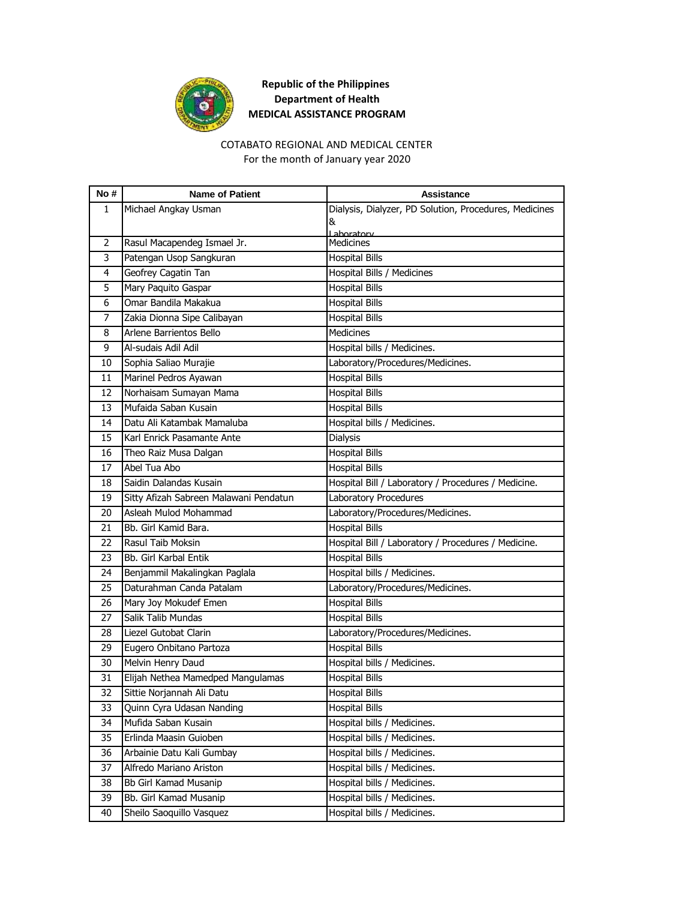

#### COTABATO REGIONAL AND MEDICAL CENTER

For the month of January year 2020

| No # | <b>Name of Patient</b>                 | Assistance                                             |
|------|----------------------------------------|--------------------------------------------------------|
| 1    | Michael Angkay Usman                   | Dialysis, Dialyzer, PD Solution, Procedures, Medicines |
|      |                                        | &                                                      |
| 2    | Rasul Macapendeg Ismael Jr.            | Laboratory<br>Medicines                                |
| 3    | Patengan Usop Sangkuran                | <b>Hospital Bills</b>                                  |
| 4    | Geofrey Cagatin Tan                    | Hospital Bills / Medicines                             |
| 5    | Mary Paquito Gaspar                    | <b>Hospital Bills</b>                                  |
| 6    | Omar Bandila Makakua                   | <b>Hospital Bills</b>                                  |
| 7    | Zakia Dionna Sipe Calibayan            | <b>Hospital Bills</b>                                  |
| 8    | Arlene Barrientos Bello                | Medicines                                              |
| 9    | Al-sudais Adil Adil                    | Hospital bills / Medicines.                            |
| 10   | Sophia Saliao Murajie                  | Laboratory/Procedures/Medicines.                       |
| 11   | Marinel Pedros Ayawan                  | <b>Hospital Bills</b>                                  |
| 12   | Norhaisam Sumayan Mama                 | <b>Hospital Bills</b>                                  |
| 13   | Mufaida Saban Kusain                   | <b>Hospital Bills</b>                                  |
| 14   | Datu Ali Katambak Mamaluba             | Hospital bills / Medicines.                            |
| 15   | Karl Enrick Pasamante Ante             | <b>Dialysis</b>                                        |
| 16   | Theo Raiz Musa Dalgan                  | <b>Hospital Bills</b>                                  |
| 17   | Abel Tua Abo                           | <b>Hospital Bills</b>                                  |
| 18   | Saidin Dalandas Kusain                 | Hospital Bill / Laboratory / Procedures / Medicine.    |
| 19   | Sitty Afizah Sabreen Malawani Pendatun | Laboratory Procedures                                  |
| 20   | Asleah Mulod Mohammad                  | Laboratory/Procedures/Medicines.                       |
| 21   | Bb. Girl Kamid Bara.                   | <b>Hospital Bills</b>                                  |
| 22   | Rasul Taib Moksin                      | Hospital Bill / Laboratory / Procedures / Medicine.    |
| 23   | Bb. Girl Karbal Entik                  | <b>Hospital Bills</b>                                  |
| 24   | Benjammil Makalingkan Paglala          | Hospital bills / Medicines.                            |
| 25   | Daturahman Canda Patalam               | Laboratory/Procedures/Medicines.                       |
| 26   | Mary Joy Mokudef Emen                  | <b>Hospital Bills</b>                                  |
| 27   | Salik Talib Mundas                     | <b>Hospital Bills</b>                                  |
| 28   | Liezel Gutobat Clarin                  | Laboratory/Procedures/Medicines.                       |
| 29   | Eugero Onbitano Partoza                | <b>Hospital Bills</b>                                  |
| 30   | Melvin Henry Daud                      | Hospital bills / Medicines.                            |
| 31   | Elijah Nethea Mamedped Mangulamas      | <b>Hospital Bills</b>                                  |
| 32   | Sittie Norjannah Ali Datu              | <b>Hospital Bills</b>                                  |
| 33   | Quinn Cyra Udasan Nanding              | <b>Hospital Bills</b>                                  |
| 34   | Mufida Saban Kusain                    | Hospital bills / Medicines.                            |
| 35   | Erlinda Maasin Guioben                 | Hospital bills / Medicines.                            |
| 36   | Arbainie Datu Kali Gumbay              | Hospital bills / Medicines.                            |
| 37   | Alfredo Mariano Ariston                | Hospital bills / Medicines.                            |
| 38   | Bb Girl Kamad Musanip                  | Hospital bills / Medicines.                            |
| 39   | Bb. Girl Kamad Musanip                 | Hospital bills / Medicines.                            |
| 40   | Sheilo Saoquillo Vasquez               | Hospital bills / Medicines.                            |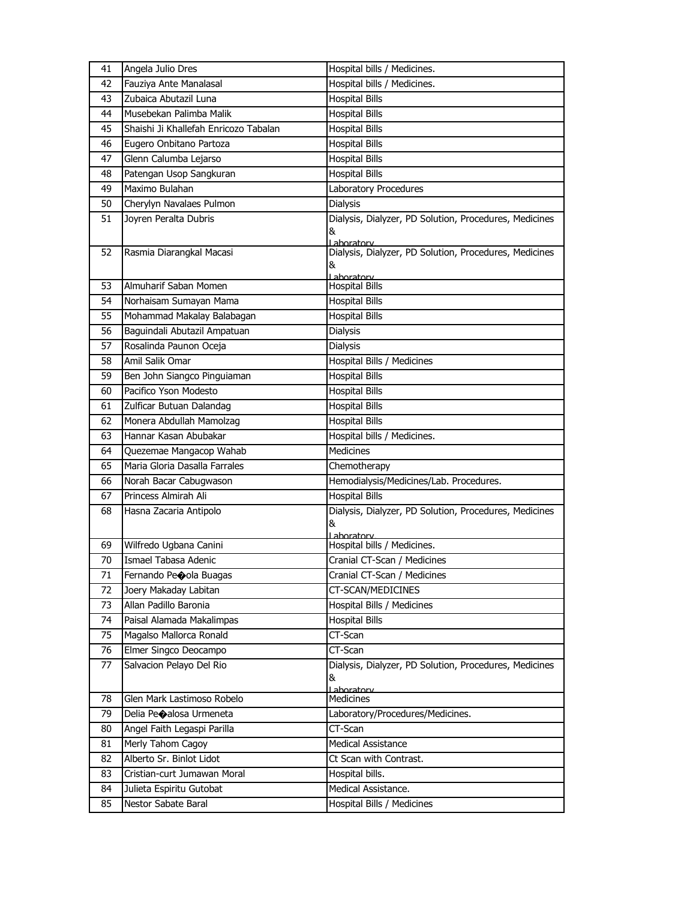| 41 | Angela Julio Dres                     | Hospital bills / Medicines.                                               |
|----|---------------------------------------|---------------------------------------------------------------------------|
| 42 | Fauziya Ante Manalasal                | Hospital bills / Medicines.                                               |
| 43 | Zubaica Abutazil Luna                 | <b>Hospital Bills</b>                                                     |
| 44 | Musebekan Palimba Malik               | <b>Hospital Bills</b>                                                     |
| 45 | Shaishi Ji Khallefah Enricozo Tabalan | <b>Hospital Bills</b>                                                     |
| 46 | Eugero Onbitano Partoza               | Hospital Bills                                                            |
| 47 | Glenn Calumba Lejarso                 | <b>Hospital Bills</b>                                                     |
| 48 | Patengan Usop Sangkuran               | <b>Hospital Bills</b>                                                     |
| 49 | Maximo Bulahan                        | Laboratory Procedures                                                     |
| 50 | Cherylyn Navalaes Pulmon              | <b>Dialysis</b>                                                           |
| 51 | Joyren Peralta Dubris                 | Dialysis, Dialyzer, PD Solution, Procedures, Medicines<br>&<br>Laboratory |
| 52 | Rasmia Diarangkal Macasi              | Dialysis, Dialyzer, PD Solution, Procedures, Medicines<br>&<br>Lahoratory |
| 53 | Almuharif Saban Momen                 | <b>Hospital Bills</b>                                                     |
| 54 | Norhaisam Sumayan Mama                | Hospital Bills                                                            |
| 55 | Mohammad Makalay Balabagan            | <b>Hospital Bills</b>                                                     |
| 56 | Baguindali Abutazil Ampatuan          | Dialysis                                                                  |
| 57 | Rosalinda Paunon Oceja                | <b>Dialysis</b>                                                           |
| 58 | Amil Salik Omar                       | Hospital Bills / Medicines                                                |
| 59 | Ben John Siangco Pinguiaman           | <b>Hospital Bills</b>                                                     |
| 60 | Pacifico Yson Modesto                 | <b>Hospital Bills</b>                                                     |
| 61 | Zulficar Butuan Dalandag              | <b>Hospital Bills</b>                                                     |
| 62 | Monera Abdullah Mamolzag              | <b>Hospital Bills</b>                                                     |
| 63 | Hannar Kasan Abubakar                 | Hospital bills / Medicines.                                               |
| 64 | Quezemae Mangacop Wahab               | <b>Medicines</b>                                                          |
| 65 | Maria Gloria Dasalla Farrales         | Chemotherapy                                                              |
| 66 | Norah Bacar Cabugwason                | Hemodialysis/Medicines/Lab. Procedures.                                   |
| 67 | Princess Almirah Ali                  | <b>Hospital Bills</b>                                                     |
| 68 | Hasna Zacaria Antipolo                | Dialysis, Dialyzer, PD Solution, Procedures, Medicines<br>&<br>Laboratory |
| 69 | Wilfredo Ugbana Canini                | Hospital bills / Medicines.                                               |
| 70 | Ismael Tabasa Adenic                  | Cranial CT-Scan / Medicines                                               |
| 71 | Fernando Peoola Buagas                | Cranial CT-Scan / Medicines                                               |
| 72 | Joery Makaday Labitan                 | CT-SCAN/MEDICINES                                                         |
| 73 | Allan Padillo Baronia                 | Hospital Bills / Medicines                                                |
| 74 | Paisal Alamada Makalimpas             | <b>Hospital Bills</b>                                                     |
| 75 | Magalso Mallorca Ronald               | CT-Scan                                                                   |
| 76 | Elmer Singco Deocampo                 | CT-Scan                                                                   |
| 77 | Salvacion Pelayo Del Rio              | Dialysis, Dialyzer, PD Solution, Procedures, Medicines<br>&<br>Laboratory |
| 78 | Glen Mark Lastimoso Robelo            | <b>Medicines</b>                                                          |
| 79 | Delia Peoalosa Urmeneta               | Laboratory/Procedures/Medicines.                                          |
| 80 | Angel Faith Legaspi Parilla           | CT-Scan                                                                   |
| 81 | Merly Tahom Cagoy                     | <b>Medical Assistance</b>                                                 |
| 82 | Alberto Sr. Binlot Lidot              | Ct Scan with Contrast.                                                    |
| 83 | Cristian-curt Jumawan Moral           | Hospital bills.                                                           |
| 84 | Julieta Espiritu Gutobat              | Medical Assistance.                                                       |
| 85 | Nestor Sabate Baral                   | Hospital Bills / Medicines                                                |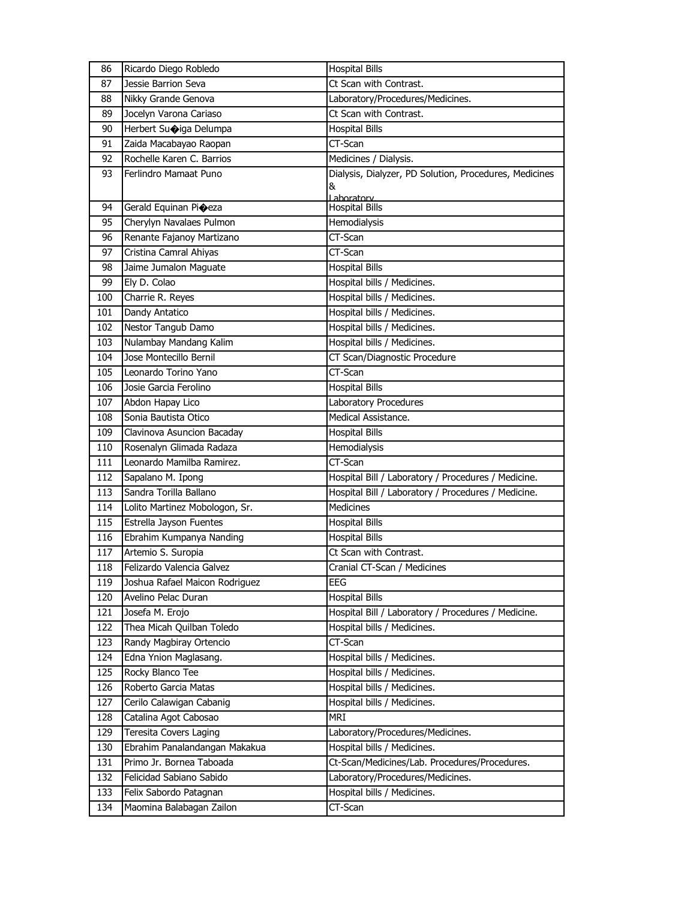| 86         | Ricardo Diego Robledo          | <b>Hospital Bills</b>                                  |
|------------|--------------------------------|--------------------------------------------------------|
| 87         | Jessie Barrion Seva            | Ct Scan with Contrast.                                 |
| 88         | Nikky Grande Genova            | Laboratory/Procedures/Medicines.                       |
| 89         | Jocelyn Varona Cariaso         | Ct Scan with Contrast.                                 |
| 90         | Herbert Su�iga Delumpa         | <b>Hospital Bills</b>                                  |
| 91         | Zaida Macabayao Raopan         | CT-Scan                                                |
| 92         | Rochelle Karen C. Barrios      | Medicines / Dialysis.                                  |
| 93         | Ferlindro Mamaat Puno          | Dialysis, Dialyzer, PD Solution, Procedures, Medicines |
|            |                                | &                                                      |
| 94         | Gerald Equinan Pioeza          | Laboratory<br><b>Hospital Bills</b>                    |
| 95         | Cherylyn Navalaes Pulmon       | Hemodialysis                                           |
| 96         | Renante Fajanoy Martizano      | CT-Scan                                                |
| 97         | Cristina Camral Ahiyas         | CT-Scan                                                |
| 98         | Jaime Jumalon Maguate          | <b>Hospital Bills</b>                                  |
| 99         | Ely D. Colao                   | Hospital bills / Medicines.                            |
| 100        | Charrie R. Reyes               | Hospital bills / Medicines.                            |
| 101        | Dandy Antatico                 | Hospital bills / Medicines.                            |
| 102        | Nestor Tangub Damo             | Hospital bills / Medicines.                            |
| 103        | Nulambay Mandang Kalim         | Hospital bills / Medicines.                            |
| 104        | Jose Montecillo Bernil         | CT Scan/Diagnostic Procedure                           |
| 105        | Leonardo Torino Yano           | CT-Scan                                                |
| 106        | Josie Garcia Ferolino          | <b>Hospital Bills</b>                                  |
| 107        | Abdon Hapay Lico               | Laboratory Procedures                                  |
| 108        | Sonia Bautista Otico           | Medical Assistance.                                    |
| 109        | Clavinova Asuncion Bacaday     | <b>Hospital Bills</b>                                  |
| 110        | Rosenalyn Glimada Radaza       | Hemodialysis                                           |
| 111        | Leonardo Mamilba Ramirez.      | CT-Scan                                                |
| 112        | Sapalano M. Ipong              | Hospital Bill / Laboratory / Procedures / Medicine.    |
| 113        | Sandra Torilla Ballano         | Hospital Bill / Laboratory / Procedures / Medicine.    |
| 114        | Lolito Martinez Mobologon, Sr. | Medicines                                              |
| 115        | Estrella Jayson Fuentes        | <b>Hospital Bills</b>                                  |
| 116        | Ebrahim Kumpanya Nanding       | <b>Hospital Bills</b>                                  |
| 117        | Artemio S. Suropia             | Ct Scan with Contrast.                                 |
| 118        | Felizardo Valencia Galvez      | Cranial CT-Scan / Medicines                            |
| 119        | Joshua Rafael Maicon Rodriguez | EEG                                                    |
| 120        | Avelino Pelac Duran            | <b>Hospital Bills</b>                                  |
| 121        | Josefa M. Erojo                | Hospital Bill / Laboratory / Procedures / Medicine.    |
| 122        | Thea Micah Quilban Toledo      | Hospital bills / Medicines.                            |
| 123        | Randy Magbiray Ortencio        | CT-Scan                                                |
| 124        | Edna Ynion Maglasang.          | Hospital bills / Medicines.                            |
| 125        | Rocky Blanco Tee               | Hospital bills / Medicines.                            |
|            |                                | Hospital bills / Medicines.                            |
| 126        | Roberto Garcia Matas           | Hospital bills / Medicines.                            |
| 127<br>128 | Cerilo Calawigan Cabanig       | MRI                                                    |
| 129        | Catalina Agot Cabosao          | Laboratory/Procedures/Medicines.                       |
| 130        | Teresita Covers Laging         | Hospital bills / Medicines.                            |
|            | Ebrahim Panalandangan Makakua  |                                                        |
| 131        | Primo Jr. Bornea Taboada       | Ct-Scan/Medicines/Lab. Procedures/Procedures.          |
| 132        | Felicidad Sabiano Sabido       | Laboratory/Procedures/Medicines.                       |
| 133        | Felix Sabordo Patagnan         | Hospital bills / Medicines.                            |
| 134        | Maomina Balabagan Zailon       | CT-Scan                                                |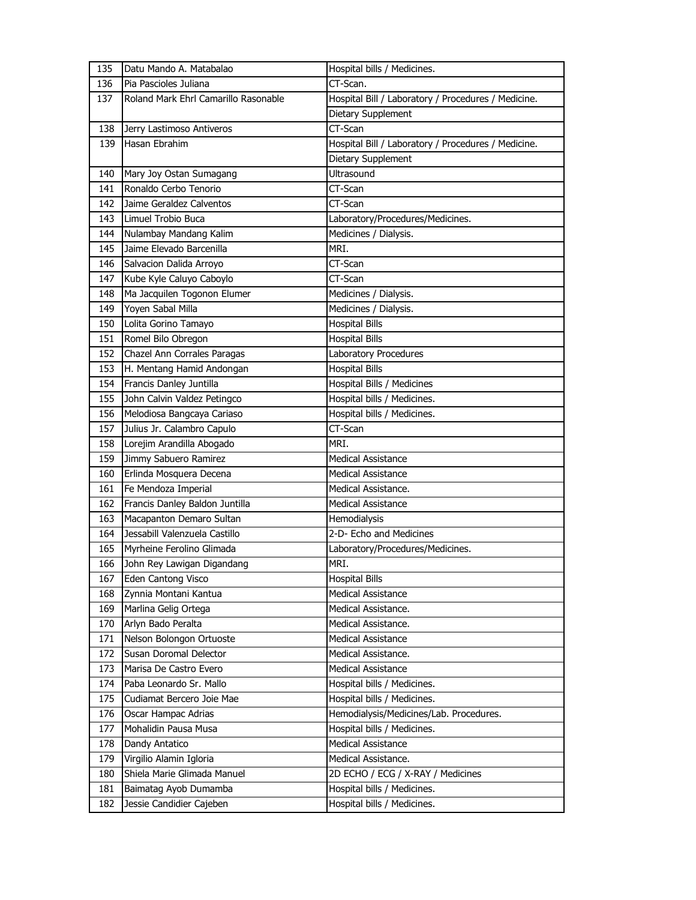| 135 | Datu Mando A. Matabalao              | Hospital bills / Medicines.                         |
|-----|--------------------------------------|-----------------------------------------------------|
| 136 | Pia Pascioles Juliana                | CT-Scan.                                            |
| 137 | Roland Mark Ehrl Camarillo Rasonable | Hospital Bill / Laboratory / Procedures / Medicine. |
|     |                                      | Dietary Supplement                                  |
| 138 | Jerry Lastimoso Antiveros            | CT-Scan                                             |
| 139 | Hasan Ebrahim                        | Hospital Bill / Laboratory / Procedures / Medicine. |
|     |                                      | Dietary Supplement                                  |
| 140 | Mary Joy Ostan Sumagang              | Ultrasound                                          |
| 141 | Ronaldo Cerbo Tenorio                | CT-Scan                                             |
| 142 | Jaime Geraldez Calventos             | CT-Scan                                             |
| 143 | Limuel Trobio Buca                   | Laboratory/Procedures/Medicines.                    |
| 144 | Nulambay Mandang Kalim               | Medicines / Dialysis.                               |
| 145 | Jaime Elevado Barcenilla             | MRI.                                                |
| 146 | Salvacion Dalida Arroyo              | CT-Scan                                             |
| 147 | Kube Kyle Caluyo Caboylo             | CT-Scan                                             |
| 148 | Ma Jacquilen Togonon Elumer          | Medicines / Dialysis.                               |
| 149 | Yoyen Sabal Milla                    | Medicines / Dialysis.                               |
| 150 | Lolita Gorino Tamayo                 | <b>Hospital Bills</b>                               |
| 151 | Romel Bilo Obregon                   | <b>Hospital Bills</b>                               |
| 152 | Chazel Ann Corrales Paragas          | Laboratory Procedures                               |
| 153 | H. Mentang Hamid Andongan            | <b>Hospital Bills</b>                               |
| 154 | Francis Danley Juntilla              | Hospital Bills / Medicines                          |
| 155 | John Calvin Valdez Petingco          | Hospital bills / Medicines.                         |
| 156 | Melodiosa Bangcaya Cariaso           | Hospital bills / Medicines.                         |
| 157 | Julius Jr. Calambro Capulo           | CT-Scan                                             |
| 158 | Lorejim Arandilla Abogado            | MRI.                                                |
| 159 | Jimmy Sabuero Ramirez                | <b>Medical Assistance</b>                           |
| 160 | Erlinda Mosquera Decena              | <b>Medical Assistance</b>                           |
| 161 | Fe Mendoza Imperial                  | Medical Assistance.                                 |
| 162 | Francis Danley Baldon Juntilla       | <b>Medical Assistance</b>                           |
| 163 | Macapanton Demaro Sultan             | Hemodialysis                                        |
| 164 | Jessabill Valenzuela Castillo        | 2-D- Echo and Medicines                             |
| 165 | Myrheine Ferolino Glimada            | Laboratory/Procedures/Medicines.                    |
| 166 | John Rey Lawigan Digandang           | MRI.                                                |
| 167 | Eden Cantong Visco                   | <b>Hospital Bills</b>                               |
| 168 | Zynnia Montani Kantua                | Medical Assistance                                  |
| 169 | Marlina Gelig Ortega                 | Medical Assistance.                                 |
| 170 | Arlyn Bado Peralta                   | Medical Assistance.                                 |
| 171 | Nelson Bolongon Ortuoste             | <b>Medical Assistance</b>                           |
| 172 | Susan Doromal Delector               | Medical Assistance.                                 |
| 173 | Marisa De Castro Evero               | Medical Assistance                                  |
| 174 | Paba Leonardo Sr. Mallo              | Hospital bills / Medicines.                         |
| 175 | Cudiamat Bercero Joie Mae            | Hospital bills / Medicines.                         |
|     |                                      |                                                     |
| 176 | Oscar Hampac Adrias                  | Hemodialysis/Medicines/Lab. Procedures.             |
| 177 | Mohalidin Pausa Musa                 | Hospital bills / Medicines.                         |
| 178 | Dandy Antatico                       | <b>Medical Assistance</b>                           |
| 179 | Virgilio Alamin Igloria              | Medical Assistance.                                 |
| 180 | Shiela Marie Glimada Manuel          | 2D ECHO / ECG / X-RAY / Medicines                   |
| 181 | Baimatag Ayob Dumamba                | Hospital bills / Medicines.                         |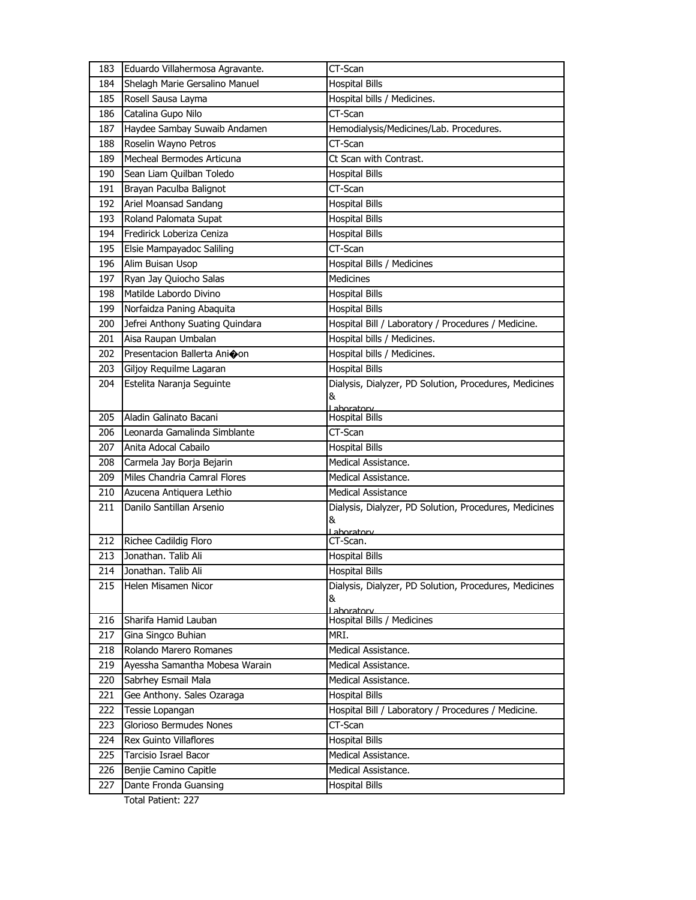| 183 | Eduardo Villahermosa Agravante. | CT-Scan                                                |
|-----|---------------------------------|--------------------------------------------------------|
| 184 | Shelagh Marie Gersalino Manuel  | <b>Hospital Bills</b>                                  |
| 185 | Rosell Sausa Layma              | Hospital bills / Medicines.                            |
| 186 | Catalina Gupo Nilo              | CT-Scan                                                |
| 187 | Haydee Sambay Suwaib Andamen    | Hemodialysis/Medicines/Lab. Procedures.                |
| 188 | Roselin Wayno Petros            | CT-Scan                                                |
| 189 | Mecheal Bermodes Articuna       | Ct Scan with Contrast.                                 |
| 190 | Sean Liam Quilban Toledo        | <b>Hospital Bills</b>                                  |
| 191 | Brayan Paculba Balignot         | CT-Scan                                                |
| 192 | Ariel Moansad Sandang           | <b>Hospital Bills</b>                                  |
| 193 | Roland Palomata Supat           | <b>Hospital Bills</b>                                  |
| 194 | Fredirick Loberiza Ceniza       | <b>Hospital Bills</b>                                  |
| 195 | Elsie Mampayadoc Saliling       | CT-Scan                                                |
| 196 | Alim Buisan Usop                | Hospital Bills / Medicines                             |
| 197 | Ryan Jay Quiocho Salas          | <b>Medicines</b>                                       |
| 198 | Matilde Labordo Divino          | <b>Hospital Bills</b>                                  |
| 199 | Norfaidza Paning Abaquita       | <b>Hospital Bills</b>                                  |
| 200 | Jefrei Anthony Suating Quindara | Hospital Bill / Laboratory / Procedures / Medicine.    |
| 201 | Aisa Raupan Umbalan             | Hospital bills / Medicines.                            |
| 202 | Presentacion Ballerta Anioon    | Hospital bills / Medicines.                            |
| 203 | Giljoy Requilme Lagaran         | <b>Hospital Bills</b>                                  |
| 204 | Estelita Naranja Seguinte       | Dialysis, Dialyzer, PD Solution, Procedures, Medicines |
|     |                                 | &<br>Laboratory                                        |
| 205 | Aladin Galinato Bacani          | <b>Hospital Bills</b>                                  |
| 206 | Leonarda Gamalinda Simblante    | CT-Scan                                                |
| 207 | Anita Adocal Cabailo            | <b>Hospital Bills</b>                                  |
| 208 | Carmela Jay Borja Bejarin       | Medical Assistance.                                    |
| 209 | Miles Chandria Camral Flores    | Medical Assistance.                                    |
| 210 | Azucena Antiquera Lethio        | <b>Medical Assistance</b>                              |
| 211 | Danilo Santillan Arsenio        | Dialysis, Dialyzer, PD Solution, Procedures, Medicines |
|     |                                 | &                                                      |
| 212 | Richee Cadildig Floro           | Laboratory<br>CT-Scan.                                 |
| 213 | Jonathan. Talib Ali             | <b>Hospital Bills</b>                                  |
| 214 | Jonathan. Talib Ali             | <b>Hospital Bills</b>                                  |
| 215 | Helen Misamen Nicor             | Dialysis, Dialyzer, PD Solution, Procedures, Medicines |
|     |                                 | &                                                      |
| 216 | Sharifa Hamid Lauban            | Laboratory<br>Hospital Bills / Medicines               |
| 217 | Gina Singco Buhian              | MRI.                                                   |
| 218 | Rolando Marero Romanes          | Medical Assistance.                                    |
| 219 | Ayessha Samantha Mobesa Warain  | Medical Assistance.                                    |
| 220 | Sabrhey Esmail Mala             | Medical Assistance.                                    |
| 221 | Gee Anthony. Sales Ozaraga      | <b>Hospital Bills</b>                                  |
| 222 | Tessie Lopangan                 | Hospital Bill / Laboratory / Procedures / Medicine.    |
| 223 | Glorioso Bermudes Nones         | $CT-Scan$                                              |
| 224 | Rex Guinto Villaflores          | <b>Hospital Bills</b>                                  |
| 225 | Tarcisio Israel Bacor           | Medical Assistance.                                    |
| 226 | Benjie Camino Capitle           | Medical Assistance.                                    |
| 227 | Dante Fronda Guansing           | <b>Hospital Bills</b>                                  |
|     |                                 |                                                        |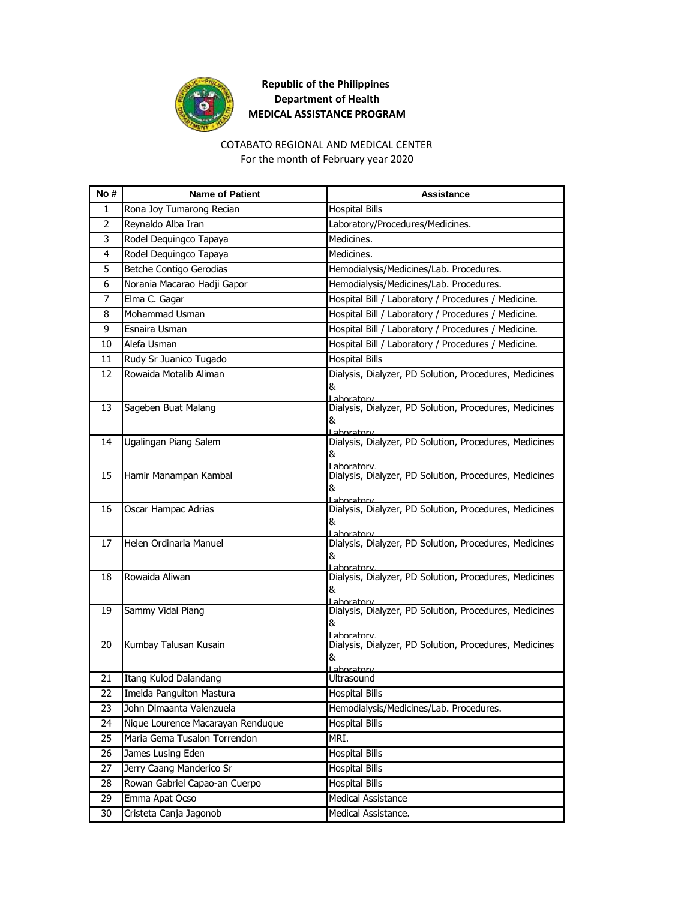

#### COTABATO REGIONAL AND MEDICAL CENTER

For the month of February year 2020

| No# | <b>Name of Patient</b>            | Assistance                                                                 |
|-----|-----------------------------------|----------------------------------------------------------------------------|
| 1   | Rona Joy Tumarong Recian          | <b>Hospital Bills</b>                                                      |
| 2   | Reynaldo Alba Iran                | Laboratory/Procedures/Medicines.                                           |
| 3   | Rodel Dequingco Tapaya            | Medicines.                                                                 |
| 4   | Rodel Dequingco Tapaya            | Medicines.                                                                 |
| 5   | Betche Contigo Gerodias           | Hemodialysis/Medicines/Lab. Procedures.                                    |
| 6   | Norania Macarao Hadji Gapor       | Hemodialysis/Medicines/Lab. Procedures.                                    |
| 7   | Elma C. Gagar                     | Hospital Bill / Laboratory / Procedures / Medicine.                        |
| 8   | Mohammad Usman                    | Hospital Bill / Laboratory / Procedures / Medicine.                        |
| 9   | Esnaira Usman                     | Hospital Bill / Laboratory / Procedures / Medicine.                        |
| 10  | Alefa Usman                       | Hospital Bill / Laboratory / Procedures / Medicine.                        |
| 11  | Rudy Sr Juanico Tugado            | <b>Hospital Bills</b>                                                      |
| 12  | Rowaida Motalib Aliman            | Dialysis, Dialyzer, PD Solution, Procedures, Medicines<br>&<br>Laboratory  |
| 13  | Sageben Buat Malang               | Dialysis, Dialyzer, PD Solution, Procedures, Medicines<br>&<br>Laboratory  |
| 14  | Ugalingan Piang Salem             | Dialysis, Dialyzer, PD Solution, Procedures, Medicines<br>&<br>Laboratory  |
| 15  | Hamir Manampan Kambal             | Dialysis, Dialyzer, PD Solution, Procedures, Medicines<br>&<br>Laboratory  |
| 16  | Oscar Hampac Adrias               | Dialysis, Dialyzer, PD Solution, Procedures, Medicines<br>&<br>Laboratory  |
| 17  | Helen Ordinaria Manuel            | Dialysis, Dialyzer, PD Solution, Procedures, Medicines<br>&<br>Lahoratory  |
| 18  | Rowaida Aliwan                    | Dialysis, Dialyzer, PD Solution, Procedures, Medicines<br>&<br>Lahoratory  |
| 19  | Sammy Vidal Piang                 | Dialysis, Dialyzer, PD Solution, Procedures, Medicines<br>&<br>l ahoratorv |
| 20  | Kumbay Talusan Kusain             | Dialysis, Dialyzer, PD Solution, Procedures, Medicines<br>&<br>Laboratorv  |
| 21  | Itang Kulod Dalandang             | <b>Ultrasound</b>                                                          |
| 22  | Imelda Panguiton Mastura          | <b>Hospital Bills</b>                                                      |
| 23  | John Dimaanta Valenzuela          | Hemodialysis/Medicines/Lab. Procedures.                                    |
| 24  | Nique Lourence Macarayan Renduque | <b>Hospital Bills</b>                                                      |
| 25  | Maria Gema Tusalon Torrendon      | MRI.                                                                       |
| 26  | James Lusing Eden                 | <b>Hospital Bills</b>                                                      |
| 27  | Jerry Caang Manderico Sr          | <b>Hospital Bills</b>                                                      |
| 28  | Rowan Gabriel Capao-an Cuerpo     | <b>Hospital Bills</b>                                                      |
| 29  | Emma Apat Ocso                    | Medical Assistance                                                         |
| 30  | Cristeta Canja Jagonob            | Medical Assistance.                                                        |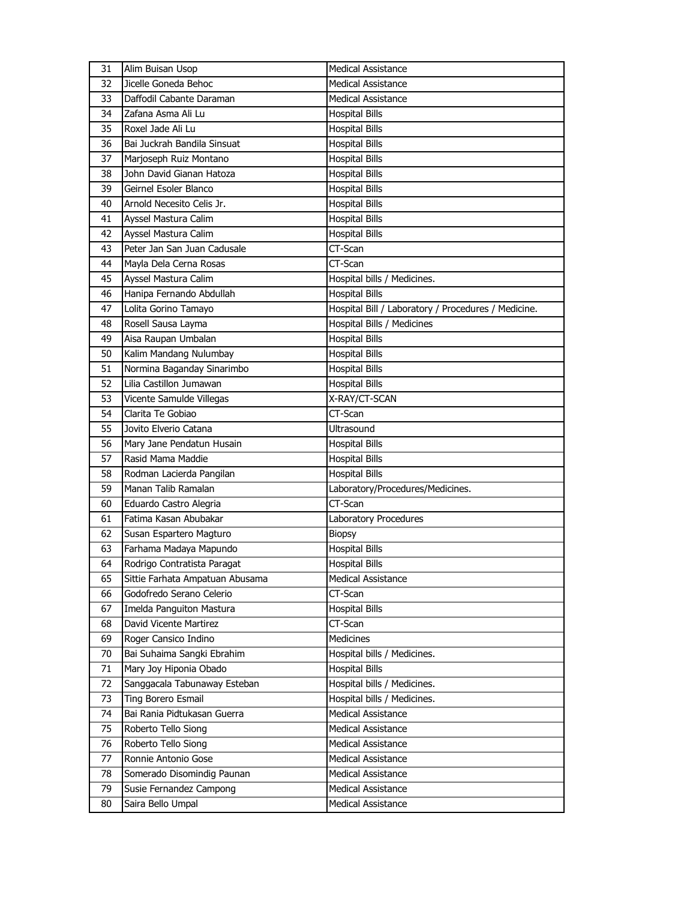| 31 | Alim Buisan Usop                | <b>Medical Assistance</b>                           |
|----|---------------------------------|-----------------------------------------------------|
| 32 | Jicelle Goneda Behoc            | Medical Assistance                                  |
| 33 | Daffodil Cabante Daraman        | <b>Medical Assistance</b>                           |
| 34 | Zafana Asma Ali Lu              | <b>Hospital Bills</b>                               |
| 35 | Roxel Jade Ali Lu               | <b>Hospital Bills</b>                               |
| 36 | Bai Juckrah Bandila Sinsuat     | <b>Hospital Bills</b>                               |
| 37 | Marjoseph Ruiz Montano          | <b>Hospital Bills</b>                               |
| 38 | John David Gianan Hatoza        | <b>Hospital Bills</b>                               |
| 39 | Geirnel Esoler Blanco           | <b>Hospital Bills</b>                               |
| 40 | Arnold Necesito Celis Jr.       | <b>Hospital Bills</b>                               |
| 41 | Ayssel Mastura Calim            | <b>Hospital Bills</b>                               |
| 42 | Ayssel Mastura Calim            | <b>Hospital Bills</b>                               |
| 43 | Peter Jan San Juan Cadusale     | CT-Scan                                             |
| 44 | Mayla Dela Cerna Rosas          | CT-Scan                                             |
| 45 | Ayssel Mastura Calim            | Hospital bills / Medicines.                         |
| 46 | Hanipa Fernando Abdullah        | <b>Hospital Bills</b>                               |
| 47 | Lolita Gorino Tamayo            | Hospital Bill / Laboratory / Procedures / Medicine. |
| 48 | Rosell Sausa Layma              | Hospital Bills / Medicines                          |
| 49 | Aisa Raupan Umbalan             | <b>Hospital Bills</b>                               |
| 50 | Kalim Mandang Nulumbay          | <b>Hospital Bills</b>                               |
| 51 | Normina Baganday Sinarimbo      | <b>Hospital Bills</b>                               |
| 52 | Lilia Castillon Jumawan         | <b>Hospital Bills</b>                               |
| 53 | Vicente Samulde Villegas        | X-RAY/CT-SCAN                                       |
| 54 | Clarita Te Gobiao               | CT-Scan                                             |
| 55 | Jovito Elverio Catana           | <b>Ultrasound</b>                                   |
| 56 | Mary Jane Pendatun Husain       | <b>Hospital Bills</b>                               |
| 57 | Rasid Mama Maddie               | <b>Hospital Bills</b>                               |
| 58 | Rodman Lacierda Pangilan        | <b>Hospital Bills</b>                               |
| 59 | Manan Talib Ramalan             | Laboratory/Procedures/Medicines.                    |
| 60 | Eduardo Castro Alegria          | CT-Scan                                             |
| 61 | Fatima Kasan Abubakar           | Laboratory Procedures                               |
| 62 | Susan Espartero Magturo         | <b>Biopsy</b>                                       |
| 63 | Farhama Madaya Mapundo          | <b>Hospital Bills</b>                               |
| 64 | Rodrigo Contratista Paragat     | <b>Hospital Bills</b>                               |
| 65 | Sittie Farhata Ampatuan Abusama | Medical Assistance                                  |
| 66 | Godofredo Serano Celerio        | CT-Scan                                             |
| 67 | Imelda Panguiton Mastura        | <b>Hospital Bills</b>                               |
| 68 | David Vicente Martirez          | CT-Scan                                             |
| 69 | Roger Cansico Indino            | <b>Medicines</b>                                    |
| 70 | Bai Suhaima Sangki Ebrahim      | Hospital bills / Medicines.                         |
| 71 | Mary Joy Hiponia Obado          | <b>Hospital Bills</b>                               |
| 72 | Sanggacala Tabunaway Esteban    | Hospital bills / Medicines.                         |
| 73 | Ting Borero Esmail              | Hospital bills / Medicines.                         |
| 74 | Bai Rania Pidtukasan Guerra     | Medical Assistance                                  |
| 75 | Roberto Tello Siong             | <b>Medical Assistance</b>                           |
| 76 | Roberto Tello Siong             | Medical Assistance                                  |
| 77 | Ronnie Antonio Gose             | <b>Medical Assistance</b>                           |
| 78 | Somerado Disomindig Paunan      | Medical Assistance                                  |
| 79 | Susie Fernandez Campong         | Medical Assistance                                  |
| 80 | Saira Bello Umpal               | Medical Assistance                                  |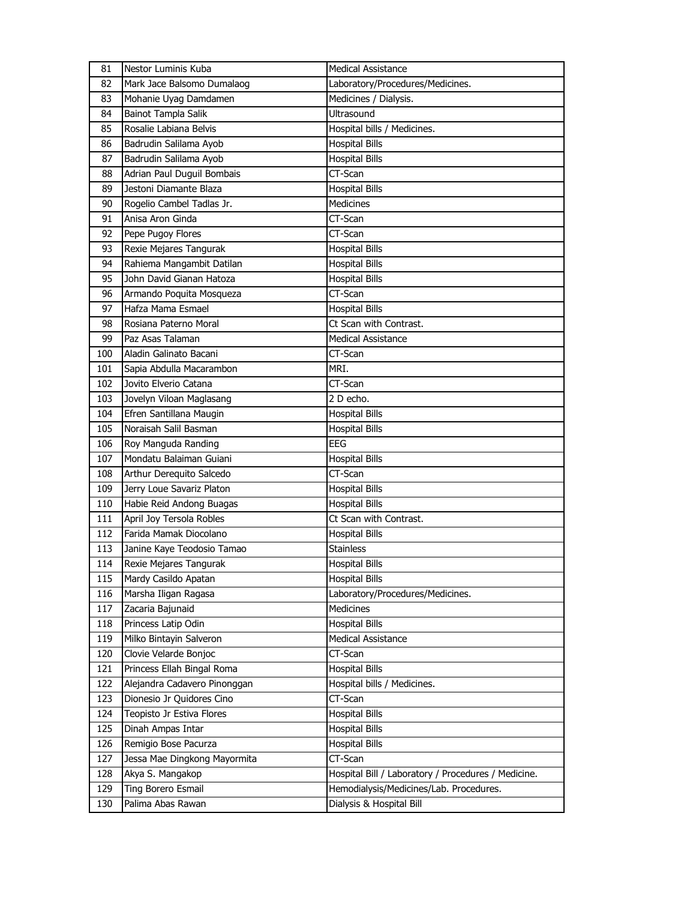| 81               | Nestor Luminis Kuba          | <b>Medical Assistance</b>                           |
|------------------|------------------------------|-----------------------------------------------------|
| 82               | Mark Jace Balsomo Dumalaog   | Laboratory/Procedures/Medicines.                    |
| 83               | Mohanie Uyag Damdamen        | Medicines / Dialysis.                               |
| 84               | Bainot Tampla Salik          | Ultrasound                                          |
| 85               | Rosalie Labiana Belvis       | Hospital bills / Medicines.                         |
| 86               | Badrudin Salilama Ayob       | <b>Hospital Bills</b>                               |
| 87               | Badrudin Salilama Ayob       | <b>Hospital Bills</b>                               |
| 88               | Adrian Paul Duguil Bombais   | CT-Scan                                             |
| 89               | Jestoni Diamante Blaza       | <b>Hospital Bills</b>                               |
| 90               | Rogelio Cambel Tadlas Jr.    | Medicines                                           |
| 91               | Anisa Aron Ginda             | CT-Scan                                             |
| 92               | Pepe Pugoy Flores            | CT-Scan                                             |
| 93               | Rexie Mejares Tangurak       | <b>Hospital Bills</b>                               |
| 94               | Rahiema Mangambit Datilan    | <b>Hospital Bills</b>                               |
| 95               | John David Gianan Hatoza     | <b>Hospital Bills</b>                               |
| 96               | Armando Poquita Mosqueza     | CT-Scan                                             |
| 97               | Hafza Mama Esmael            | <b>Hospital Bills</b>                               |
| 98               | Rosiana Paterno Moral        | Ct Scan with Contrast.                              |
| 99               | Paz Asas Talaman             | <b>Medical Assistance</b>                           |
| 100              | Aladin Galinato Bacani       | CT-Scan                                             |
| 101              | Sapia Abdulla Macarambon     | MRI.                                                |
| 102              | Jovito Elverio Catana        | CT-Scan                                             |
| 103              | Jovelyn Viloan Maglasang     | 2 D echo.                                           |
| 104              | Efren Santillana Maugin      | <b>Hospital Bills</b>                               |
| 105              | Noraisah Salil Basman        | <b>Hospital Bills</b>                               |
| 106              | Roy Manguda Randing          | EEG                                                 |
| 107              | Mondatu Balaiman Guiani      | <b>Hospital Bills</b>                               |
| 108              | Arthur Derequito Salcedo     | CT-Scan                                             |
| 109              | Jerry Loue Savariz Platon    | <b>Hospital Bills</b>                               |
| 110              | Habie Reid Andong Buagas     | <b>Hospital Bills</b>                               |
| 111              | April Joy Tersola Robles     | Ct Scan with Contrast.                              |
| 112              | Farida Mamak Diocolano       | <b>Hospital Bills</b>                               |
| 113              | Janine Kaye Teodosio Tamao   | <b>Stainless</b>                                    |
| $\overline{114}$ | Rexie Mejares Tangurak       | <b>Hospital Bills</b>                               |
| 115              | Mardy Casildo Apatan         | <b>Hospital Bills</b>                               |
| 116              | Marsha Iligan Ragasa         | Laboratory/Procedures/Medicines.                    |
| 117              | Zacaria Bajunaid             | Medicines                                           |
| 118              | Princess Latip Odin          | <b>Hospital Bills</b>                               |
| 119              | Milko Bintayin Salveron      | Medical Assistance                                  |
| 120              | Clovie Velarde Bonjoc        | CT-Scan                                             |
| 121              | Princess Ellah Bingal Roma   | <b>Hospital Bills</b>                               |
| 122              | Alejandra Cadavero Pinonggan | Hospital bills / Medicines.                         |
| 123              | Dionesio Jr Quidores Cino    | CT-Scan                                             |
| 124              | Teopisto Jr Estiva Flores    | <b>Hospital Bills</b>                               |
| 125              | Dinah Ampas Intar            | <b>Hospital Bills</b>                               |
| 126              | Remigio Bose Pacurza         | <b>Hospital Bills</b>                               |
| 127              | Jessa Mae Dingkong Mayormita | CT-Scan                                             |
| 128              | Akya S. Mangakop             | Hospital Bill / Laboratory / Procedures / Medicine. |
| 129              | Ting Borero Esmail           | Hemodialysis/Medicines/Lab. Procedures.             |
| 130              | Palima Abas Rawan            | Dialysis & Hospital Bill                            |
|                  |                              |                                                     |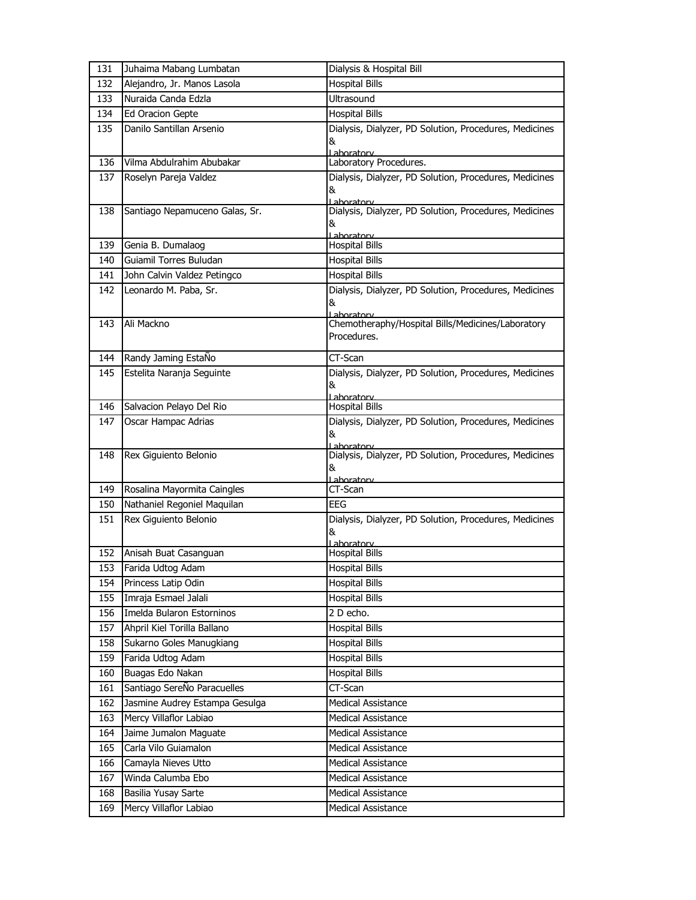| 131        | Juhaima Mabang Lumbatan                                  | Dialysis & Hospital Bill                                        |
|------------|----------------------------------------------------------|-----------------------------------------------------------------|
| 132        | Alejandro, Jr. Manos Lasola                              | <b>Hospital Bills</b>                                           |
| 133        | Nuraida Canda Edzla                                      | Ultrasound                                                      |
| 134        | <b>Ed Oracion Gepte</b>                                  | <b>Hospital Bills</b>                                           |
| 135        | Danilo Santillan Arsenio                                 | Dialysis, Dialyzer, PD Solution, Procedures, Medicines          |
|            |                                                          | &                                                               |
| 136        | Vilma Abdulrahim Abubakar                                | Laboratory<br>Laboratory Procedures.                            |
| 137        | Roselyn Pareja Valdez                                    | Dialysis, Dialyzer, PD Solution, Procedures, Medicines          |
|            |                                                          | &                                                               |
|            |                                                          | Laboratory                                                      |
| 138        | Santiago Nepamuceno Galas, Sr.                           | Dialysis, Dialyzer, PD Solution, Procedures, Medicines<br>&     |
|            |                                                          | Lahoratory                                                      |
| 139        | Genia B. Dumalaog                                        | <b>Hospital Bills</b>                                           |
| 140        | Guiamil Torres Buludan                                   | <b>Hospital Bills</b>                                           |
| 141        | John Calvin Valdez Petingco                              | <b>Hospital Bills</b>                                           |
| 142        | Leonardo M. Paba, Sr.                                    | Dialysis, Dialyzer, PD Solution, Procedures, Medicines          |
|            |                                                          | &                                                               |
| 143        | Ali Mackno                                               | Laboratory<br>Chemotheraphy/Hospital Bills/Medicines/Laboratory |
|            |                                                          | Procedures.                                                     |
| 144        | Randy Jaming EstaÑo                                      | CT-Scan                                                         |
| 145        | Estelita Naranja Seguinte                                | Dialysis, Dialyzer, PD Solution, Procedures, Medicines          |
|            |                                                          | &                                                               |
|            |                                                          | Laboratory                                                      |
| 146        | Salvacion Pelayo Del Rio                                 | <b>Hospital Bills</b>                                           |
| 147        | Oscar Hampac Adrias                                      | Dialysis, Dialyzer, PD Solution, Procedures, Medicines          |
|            |                                                          | &<br>Laboratory                                                 |
| 148        | Rex Giguiento Belonio                                    | Dialysis, Dialyzer, PD Solution, Procedures, Medicines          |
|            |                                                          | &                                                               |
| 149        | Rosalina Mayormita Caingles                              | Laboratory<br>CT-Scan                                           |
| 150        | Nathaniel Regoniel Maquilan                              | EEG                                                             |
| 151        | Rex Giguiento Belonio                                    | Dialysis, Dialyzer, PD Solution, Procedures, Medicines          |
|            |                                                          | &                                                               |
|            |                                                          | Lahoratory                                                      |
| 152<br>153 | Anisah Buat Casanguan<br>Farida Udtog Adam               | <b>Hospital Bills</b><br><b>Hospital Bills</b>                  |
| 154        | Princess Latip Odin                                      | <b>Hospital Bills</b>                                           |
| 155        | Imraja Esmael Jalali                                     | <b>Hospital Bills</b>                                           |
| 156        | Imelda Bularon Estorninos                                | 2 D echo.                                                       |
| 157        | Ahpril Kiel Torilla Ballano                              | <b>Hospital Bills</b>                                           |
| 158        | Sukarno Goles Manugkiang                                 | <b>Hospital Bills</b>                                           |
| 159        | Farida Udtog Adam                                        | <b>Hospital Bills</b>                                           |
|            | Buagas Edo Nakan                                         | <b>Hospital Bills</b>                                           |
| 160        | Santiago SereÑo Paracuelles                              |                                                                 |
| 161        |                                                          | CT-Scan                                                         |
| 162        | Jasmine Audrey Estampa Gesulga<br>Mercy Villaflor Labiao | Medical Assistance<br><b>Medical Assistance</b>                 |
| 163        |                                                          |                                                                 |
| 164<br>165 | Jaime Jumalon Maguate<br>Carla Vilo Guiamalon            | Medical Assistance<br>Medical Assistance                        |
|            |                                                          |                                                                 |
| 166        | Camayla Nieves Utto                                      | Medical Assistance                                              |
| 167        | Winda Calumba Ebo                                        | Medical Assistance                                              |
| 168        | Basilia Yusay Sarte                                      | Medical Assistance                                              |
| 169        | Mercy Villaflor Labiao                                   | Medical Assistance                                              |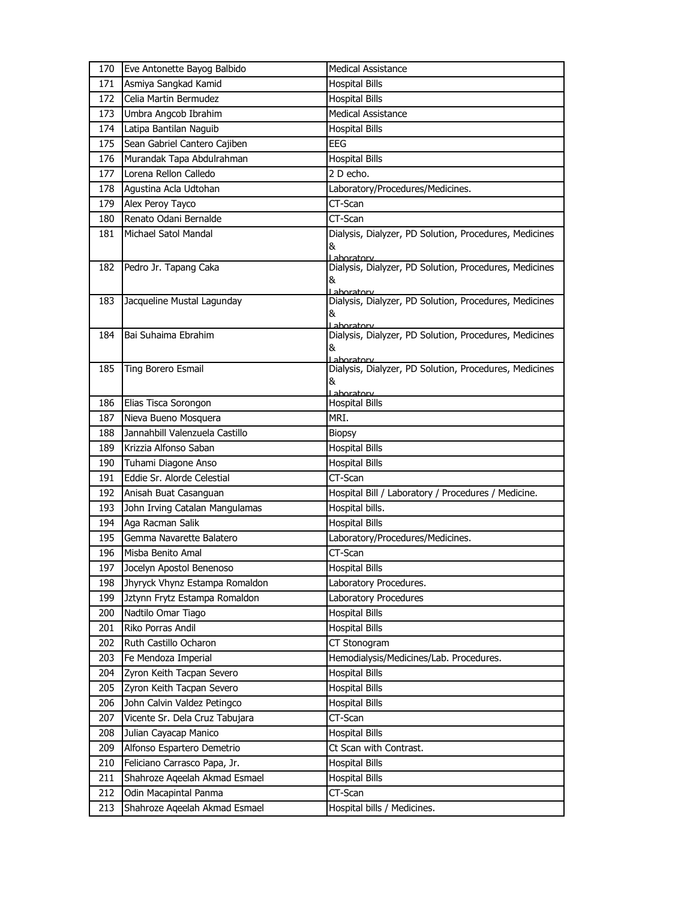| 170 | Eve Antonette Bayog Balbido    | <b>Medical Assistance</b>                                             |
|-----|--------------------------------|-----------------------------------------------------------------------|
| 171 | Asmiya Sangkad Kamid           | <b>Hospital Bills</b>                                                 |
| 172 | Celia Martin Bermudez          | <b>Hospital Bills</b>                                                 |
| 173 | Umbra Angcob Ibrahim           | <b>Medical Assistance</b>                                             |
| 174 | Latipa Bantilan Naguib         | <b>Hospital Bills</b>                                                 |
| 175 | Sean Gabriel Cantero Cajiben   | <b>EEG</b>                                                            |
| 176 | Murandak Tapa Abdulrahman      | <b>Hospital Bills</b>                                                 |
| 177 | Lorena Rellon Calledo          | 2 D echo.                                                             |
| 178 | Agustina Acla Udtohan          | Laboratory/Procedures/Medicines.                                      |
| 179 | Alex Peroy Tayco               | CT-Scan                                                               |
| 180 | Renato Odani Bernalde          | CT-Scan                                                               |
| 181 | Michael Satol Mandal           | Dialysis, Dialyzer, PD Solution, Procedures, Medicines                |
|     |                                | &                                                                     |
| 182 | Pedro Jr. Tapang Caka          | Laboratory<br>Dialysis, Dialyzer, PD Solution, Procedures, Medicines  |
|     |                                | &                                                                     |
|     |                                | Lahoratory                                                            |
| 183 | Jacqueline Mustal Lagunday     | Dialysis, Dialyzer, PD Solution, Procedures, Medicines                |
|     |                                | &<br>Laboratory                                                       |
| 184 | Bai Suhaima Ebrahim            | Dialysis, Dialyzer, PD Solution, Procedures, Medicines                |
|     |                                | &                                                                     |
| 185 | Ting Borero Esmail             | I aboratory<br>Dialysis, Dialyzer, PD Solution, Procedures, Medicines |
|     |                                | &                                                                     |
|     |                                | Laboratory                                                            |
| 186 | Elias Tisca Sorongon           | <b>Hospital Bills</b>                                                 |
| 187 | Nieva Bueno Mosquera           | MRI.                                                                  |
| 188 | Jannahbill Valenzuela Castillo | <b>Biopsy</b>                                                         |
| 189 | Krizzia Alfonso Saban          | <b>Hospital Bills</b>                                                 |
| 190 | Tuhami Diagone Anso            | <b>Hospital Bills</b>                                                 |
| 191 | Eddie Sr. Alorde Celestial     | CT-Scan                                                               |
| 192 | Anisah Buat Casanguan          | Hospital Bill / Laboratory / Procedures / Medicine.                   |
| 193 | John Irving Catalan Mangulamas | Hospital bills.                                                       |
| 194 | Aga Racman Salik               | <b>Hospital Bills</b>                                                 |
| 195 | Gemma Navarette Balatero       | Laboratory/Procedures/Medicines.                                      |
| 196 | Misba Benito Amal              | CT-Scan                                                               |
| 197 | Jocelyn Apostol Benenoso       | <b>Hospital Bills</b>                                                 |
| 198 | Jhyryck Vhynz Estampa Romaldon | Laboratory Procedures.                                                |
| 199 | Jztynn Frytz Estampa Romaldon  | Laboratory Procedures                                                 |
| 200 | Nadtilo Omar Tiago             | <b>Hospital Bills</b>                                                 |
| 201 | Riko Porras Andil              | <b>Hospital Bills</b>                                                 |
| 202 | Ruth Castillo Ocharon          | CT Stonogram                                                          |
| 203 | Fe Mendoza Imperial            | Hemodialysis/Medicines/Lab. Procedures.                               |
| 204 | Zyron Keith Tacpan Severo      | <b>Hospital Bills</b>                                                 |
| 205 | Zyron Keith Tacpan Severo      | <b>Hospital Bills</b>                                                 |
| 206 | John Calvin Valdez Petingco    | <b>Hospital Bills</b>                                                 |
| 207 | Vicente Sr. Dela Cruz Tabujara | CT-Scan                                                               |
| 208 | Julian Cayacap Manico          | <b>Hospital Bills</b>                                                 |
| 209 | Alfonso Espartero Demetrio     | Ct Scan with Contrast.                                                |
| 210 | Feliciano Carrasco Papa, Jr.   | <b>Hospital Bills</b>                                                 |
| 211 | Shahroze Aqeelah Akmad Esmael  | <b>Hospital Bills</b>                                                 |
| 212 | Odin Macapintal Panma          | CT-Scan                                                               |
| 213 | Shahroze Aqeelah Akmad Esmael  | Hospital bills / Medicines.                                           |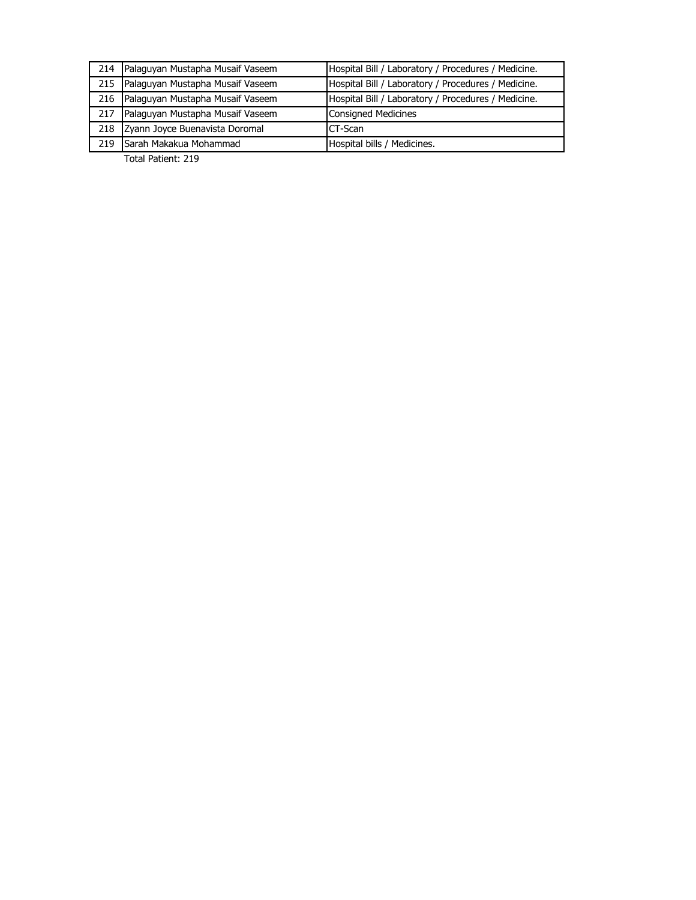|     | 214 Palaguyan Mustapha Musaif Vaseem | Hospital Bill / Laboratory / Procedures / Medicine. |
|-----|--------------------------------------|-----------------------------------------------------|
|     | 215 Palaguyan Mustapha Musaif Vaseem | Hospital Bill / Laboratory / Procedures / Medicine. |
| 216 | Palaguyan Mustapha Musaif Vaseem     | Hospital Bill / Laboratory / Procedures / Medicine. |
| 217 | Palaguyan Mustapha Musaif Vaseem     | Consigned Medicines                                 |
| 218 | Zyann Joyce Buenavista Doromal       | CT-Scan                                             |
| 219 | Sarah Makakua Mohammad               | Hospital bills / Medicines.                         |
|     | — <u>. . n</u> 210                   |                                                     |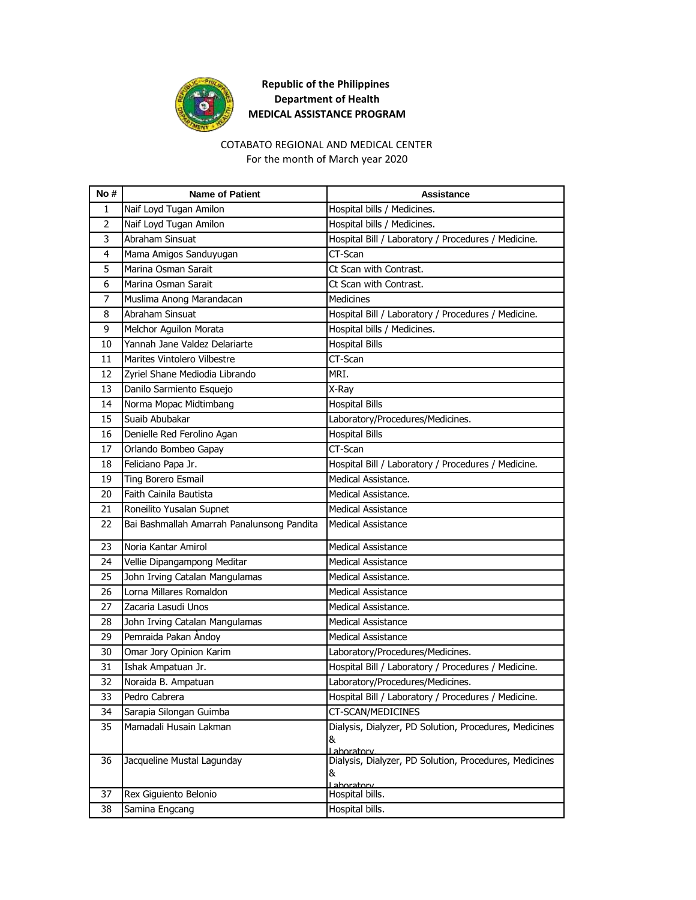

#### COTABATO REGIONAL AND MEDICAL CENTER

For the month of March year 2020

| No # | <b>Name of Patient</b>                     | Assistance                                                                |
|------|--------------------------------------------|---------------------------------------------------------------------------|
| 1    | Naif Loyd Tugan Amilon                     | Hospital bills / Medicines.                                               |
| 2    | Naif Loyd Tugan Amilon                     | Hospital bills / Medicines.                                               |
| 3    | Abraham Sinsuat                            | Hospital Bill / Laboratory / Procedures / Medicine.                       |
| 4    | Mama Amigos Sanduyugan                     | CT-Scan                                                                   |
| 5    | Marina Osman Sarait                        | Ct Scan with Contrast.                                                    |
| 6    | Marina Osman Sarait                        | Ct Scan with Contrast.                                                    |
| 7    | Muslima Anong Marandacan                   | <b>Medicines</b>                                                          |
| 8    | Abraham Sinsuat                            | Hospital Bill / Laboratory / Procedures / Medicine.                       |
| 9    | Melchor Aguilon Morata                     | Hospital bills / Medicines.                                               |
| 10   | Yannah Jane Valdez Delariarte              | <b>Hospital Bills</b>                                                     |
| 11   | Marites Vintolero Vilbestre                | CT-Scan                                                                   |
| 12   | Zyriel Shane Mediodia Librando             | MRI.                                                                      |
| 13   | Danilo Sarmiento Esquejo                   | X-Ray                                                                     |
| 14   | Norma Mopac Midtimbang                     | <b>Hospital Bills</b>                                                     |
| 15   | Suaib Abubakar                             | Laboratory/Procedures/Medicines.                                          |
| 16   | Denielle Red Ferolino Agan                 | <b>Hospital Bills</b>                                                     |
| 17   | Orlando Bombeo Gapay                       | CT-Scan                                                                   |
| 18   | Feliciano Papa Jr.                         | Hospital Bill / Laboratory / Procedures / Medicine.                       |
| 19   | Ting Borero Esmail                         | Medical Assistance.                                                       |
| 20   | Faith Cainila Bautista                     | Medical Assistance.                                                       |
| 21   | Roneilito Yusalan Supnet                   | <b>Medical Assistance</b>                                                 |
| 22   | Bai Bashmallah Amarrah Panalunsong Pandita | Medical Assistance                                                        |
| 23   | Noria Kantar Amirol                        | <b>Medical Assistance</b>                                                 |
| 24   | Vellie Dipangampong Meditar                | <b>Medical Assistance</b>                                                 |
| 25   | John Irving Catalan Mangulamas             | Medical Assistance.                                                       |
| 26   | Lorna Millares Romaldon                    | <b>Medical Assistance</b>                                                 |
| 27   | Zacaria Lasudi Unos                        | Medical Assistance.                                                       |
| 28   | John Irving Catalan Mangulamas             | Medical Assistance                                                        |
| 29   | Pemraida Pakan Andoy                       | <b>Medical Assistance</b>                                                 |
| 30   | Omar Jory Opinion Karim                    | Laboratory/Procedures/Medicines.                                          |
| 31   | Ishak Ampatuan Jr.                         | Hospital Bill / Laboratory / Procedures / Medicine.                       |
| 32   | Noraida B. Ampatuan                        | Laboratory/Procedures/Medicines.                                          |
| 33   | Pedro Cabrera                              | Hospital Bill / Laboratory / Procedures / Medicine.                       |
| 34   | Sarapia Silongan Guimba                    | CT-SCAN/MEDICINES                                                         |
| 35   | Mamadali Husain Lakman                     | Dialysis, Dialyzer, PD Solution, Procedures, Medicines<br>&<br>Laboratory |
| 36   | Jacqueline Mustal Lagunday                 | Dialysis, Dialyzer, PD Solution, Procedures, Medicines<br>&<br>Laboratory |
| 37   | Rex Giguiento Belonio                      | Hospital bills.                                                           |
| 38   | Samina Engcang                             | Hospital bills.                                                           |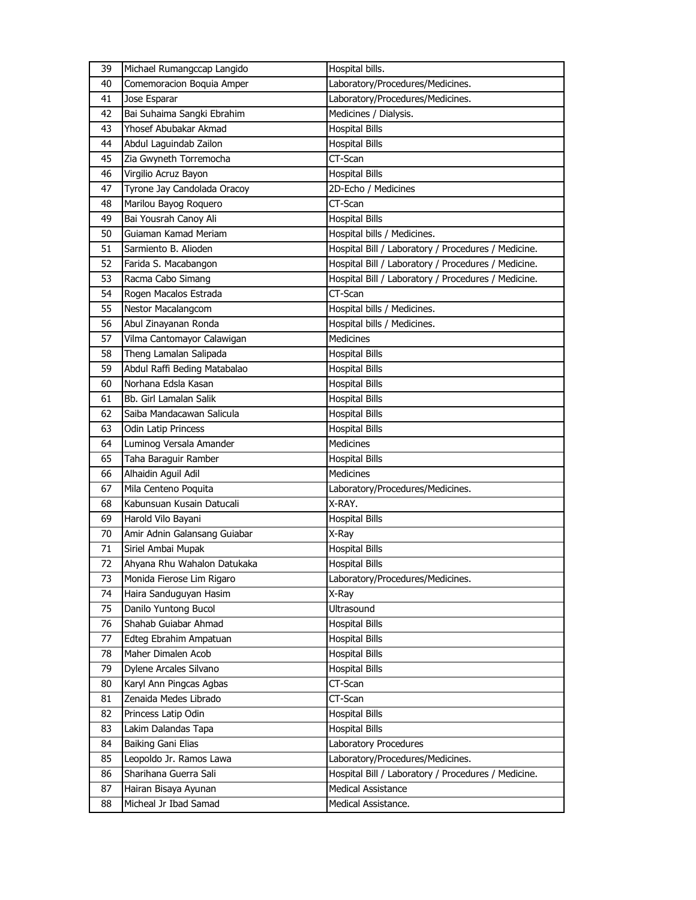| 39 | Michael Rumangccap Langido                        | Hospital bills.                                           |
|----|---------------------------------------------------|-----------------------------------------------------------|
| 40 | Comemoracion Boquia Amper                         | Laboratory/Procedures/Medicines.                          |
| 41 | Jose Esparar                                      | Laboratory/Procedures/Medicines.                          |
| 42 | Bai Suhaima Sangki Ebrahim                        | Medicines / Dialysis.                                     |
| 43 | Yhosef Abubakar Akmad                             | <b>Hospital Bills</b>                                     |
| 44 | Abdul Laguindab Zailon                            | <b>Hospital Bills</b>                                     |
| 45 | Zia Gwyneth Torremocha                            | CT-Scan                                                   |
| 46 | Virgilio Acruz Bayon                              | <b>Hospital Bills</b>                                     |
| 47 | Tyrone Jay Candolada Oracoy                       | 2D-Echo / Medicines                                       |
| 48 | Marilou Bayog Roquero                             | CT-Scan                                                   |
| 49 | Bai Yousrah Canoy Ali                             | <b>Hospital Bills</b>                                     |
| 50 | Guiaman Kamad Meriam                              | Hospital bills / Medicines.                               |
| 51 | Sarmiento B. Alioden                              | Hospital Bill / Laboratory / Procedures / Medicine.       |
| 52 | Farida S. Macabangon                              | Hospital Bill / Laboratory / Procedures / Medicine.       |
| 53 | Racma Cabo Simang                                 | Hospital Bill / Laboratory / Procedures / Medicine.       |
| 54 | Rogen Macalos Estrada                             | CT-Scan                                                   |
| 55 | Nestor Macalangcom                                | Hospital bills / Medicines.                               |
| 56 | Abul Zinayanan Ronda                              | Hospital bills / Medicines.                               |
| 57 | Vilma Cantomayor Calawigan                        | Medicines                                                 |
| 58 | Theng Lamalan Salipada                            | <b>Hospital Bills</b>                                     |
| 59 | Abdul Raffi Beding Matabalao                      | <b>Hospital Bills</b>                                     |
| 60 | Norhana Edsla Kasan                               | <b>Hospital Bills</b>                                     |
| 61 | Bb. Girl Lamalan Salik                            | <b>Hospital Bills</b>                                     |
| 62 | Saiba Mandacawan Salicula                         | <b>Hospital Bills</b>                                     |
| 63 | Odin Latip Princess                               | <b>Hospital Bills</b>                                     |
|    |                                                   |                                                           |
| 64 | Luminog Versala Amander                           | <b>Medicines</b>                                          |
| 65 | Taha Baraguir Ramber                              | <b>Hospital Bills</b>                                     |
| 66 | Alhaidin Aguil Adil                               | Medicines                                                 |
| 67 | Mila Centeno Poquita                              |                                                           |
| 68 | Kabunsuan Kusain Datucali                         | Laboratory/Procedures/Medicines.<br>X-RAY.                |
| 69 | Harold Vilo Bayani                                | <b>Hospital Bills</b>                                     |
| 70 |                                                   | X-Ray                                                     |
| 71 | Amir Adnin Galansang Guiabar                      |                                                           |
| 72 | Siriel Ambai Mupak<br>Ahyana Rhu Wahalon Datukaka | <b>Hospital Bills</b><br><b>Hospital Bills</b>            |
| 73 | Monida Fierose Lim Rigaro                         | Laboratory/Procedures/Medicines.                          |
| 74 | Haira Sanduguyan Hasim                            | X-Ray                                                     |
| 75 | Danilo Yuntong Bucol                              | Ultrasound                                                |
| 76 | Shahab Guiabar Ahmad                              | <b>Hospital Bills</b>                                     |
| 77 |                                                   | <b>Hospital Bills</b>                                     |
| 78 | Edteg Ebrahim Ampatuan<br>Maher Dimalen Acob      | <b>Hospital Bills</b>                                     |
| 79 |                                                   | <b>Hospital Bills</b>                                     |
| 80 | Dylene Arcales Silvano<br>Karyl Ann Pingcas Agbas | CT-Scan                                                   |
| 81 | Zenaida Medes Librado                             | CT-Scan                                                   |
| 82 | Princess Latip Odin                               | <b>Hospital Bills</b>                                     |
| 83 | Lakim Dalandas Tapa                               | <b>Hospital Bills</b>                                     |
| 84 | Baiking Gani Elias                                |                                                           |
| 85 | Leopoldo Jr. Ramos Lawa                           | Laboratory Procedures<br>Laboratory/Procedures/Medicines. |
| 86 | Sharihana Guerra Sali                             | Hospital Bill / Laboratory / Procedures / Medicine.       |
| 87 | Hairan Bisaya Ayunan                              | Medical Assistance                                        |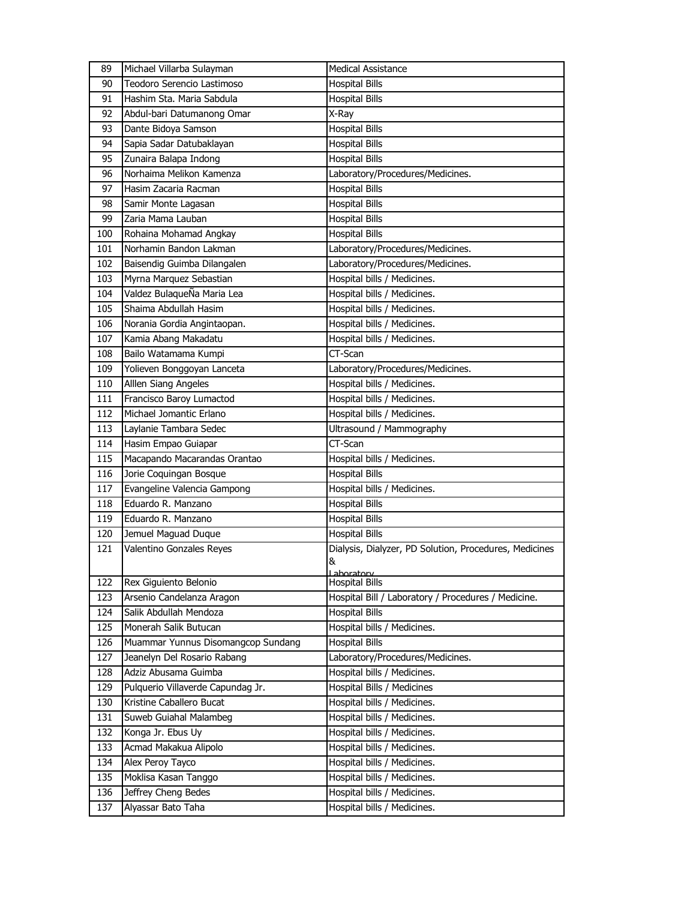| 89  | Michael Villarba Sulayman          | <b>Medical Assistance</b>                              |
|-----|------------------------------------|--------------------------------------------------------|
| 90  | Teodoro Serencio Lastimoso         | <b>Hospital Bills</b>                                  |
| 91  | Hashim Sta. Maria Sabdula          | <b>Hospital Bills</b>                                  |
| 92  | Abdul-bari Datumanong Omar         | X-Ray                                                  |
| 93  | Dante Bidoya Samson                | <b>Hospital Bills</b>                                  |
| 94  | Sapia Sadar Datubaklayan           | <b>Hospital Bills</b>                                  |
| 95  | Zunaira Balapa Indong              | <b>Hospital Bills</b>                                  |
| 96  | Norhaima Melikon Kamenza           | Laboratory/Procedures/Medicines.                       |
| 97  | Hasim Zacaria Racman               | <b>Hospital Bills</b>                                  |
| 98  | Samir Monte Lagasan                | <b>Hospital Bills</b>                                  |
| 99  | Zaria Mama Lauban                  | <b>Hospital Bills</b>                                  |
| 100 | Rohaina Mohamad Angkay             | <b>Hospital Bills</b>                                  |
| 101 | Norhamin Bandon Lakman             | Laboratory/Procedures/Medicines.                       |
| 102 | Baisendig Guimba Dilangalen        | Laboratory/Procedures/Medicines.                       |
| 103 | Myrna Marquez Sebastian            | Hospital bills / Medicines.                            |
| 104 | Valdez BulaqueÑa Maria Lea         | Hospital bills / Medicines.                            |
| 105 | Shaima Abdullah Hasim              | Hospital bills / Medicines.                            |
| 106 | Norania Gordia Angintaopan.        | Hospital bills / Medicines.                            |
| 107 | Kamia Abang Makadatu               | Hospital bills / Medicines.                            |
| 108 | Bailo Watamama Kumpi               | CT-Scan                                                |
| 109 | Yolieven Bonggoyan Lanceta         | Laboratory/Procedures/Medicines.                       |
| 110 | Alllen Siang Angeles               | Hospital bills / Medicines.                            |
| 111 | Francisco Baroy Lumactod           | Hospital bills / Medicines.                            |
| 112 | Michael Jomantic Erlano            | Hospital bills / Medicines.                            |
| 113 | Laylanie Tambara Sedec             | Ultrasound / Mammography                               |
| 114 | Hasim Empao Guiapar                | CT-Scan                                                |
| 115 | Macapando Macarandas Orantao       | Hospital bills / Medicines.                            |
| 116 | Jorie Coquingan Bosque             | <b>Hospital Bills</b>                                  |
| 117 | Evangeline Valencia Gampong        | Hospital bills / Medicines.                            |
| 118 | Eduardo R. Manzano                 | <b>Hospital Bills</b>                                  |
| 119 | Eduardo R. Manzano                 | <b>Hospital Bills</b>                                  |
| 120 | Jemuel Maguad Duque                | <b>Hospital Bills</b>                                  |
| 121 | Valentino Gonzales Reyes           | Dialysis, Dialyzer, PD Solution, Procedures, Medicines |
|     |                                    | &                                                      |
| 122 | Rex Giguiento Belonio              | Laboratory<br><b>Hospital Bills</b>                    |
| 123 | Arsenio Candelanza Aragon          | Hospital Bill / Laboratory / Procedures / Medicine.    |
| 124 | Salik Abdullah Mendoza             | <b>Hospital Bills</b>                                  |
| 125 | Monerah Salik Butucan              | Hospital bills / Medicines.                            |
| 126 | Muammar Yunnus Disomangcop Sundang | <b>Hospital Bills</b>                                  |
| 127 | Jeanelyn Del Rosario Rabang        | Laboratory/Procedures/Medicines.                       |
| 128 | Adziz Abusama Guimba               | Hospital bills / Medicines.                            |
| 129 | Pulquerio Villaverde Capundag Jr.  | Hospital Bills / Medicines                             |
| 130 | Kristine Caballero Bucat           | Hospital bills / Medicines.                            |
| 131 | Suweb Guiahal Malambeg             | Hospital bills / Medicines.                            |
| 132 | Konga Jr. Ebus Uy                  | Hospital bills / Medicines.                            |
| 133 | Acmad Makakua Alipolo              | Hospital bills / Medicines.                            |
| 134 | Alex Peroy Tayco                   | Hospital bills / Medicines.                            |
| 135 | Moklisa Kasan Tanggo               | Hospital bills / Medicines.                            |
| 136 | Jeffrey Cheng Bedes                | Hospital bills / Medicines.                            |
| 137 | Alyassar Bato Taha                 | Hospital bills / Medicines.                            |
|     |                                    |                                                        |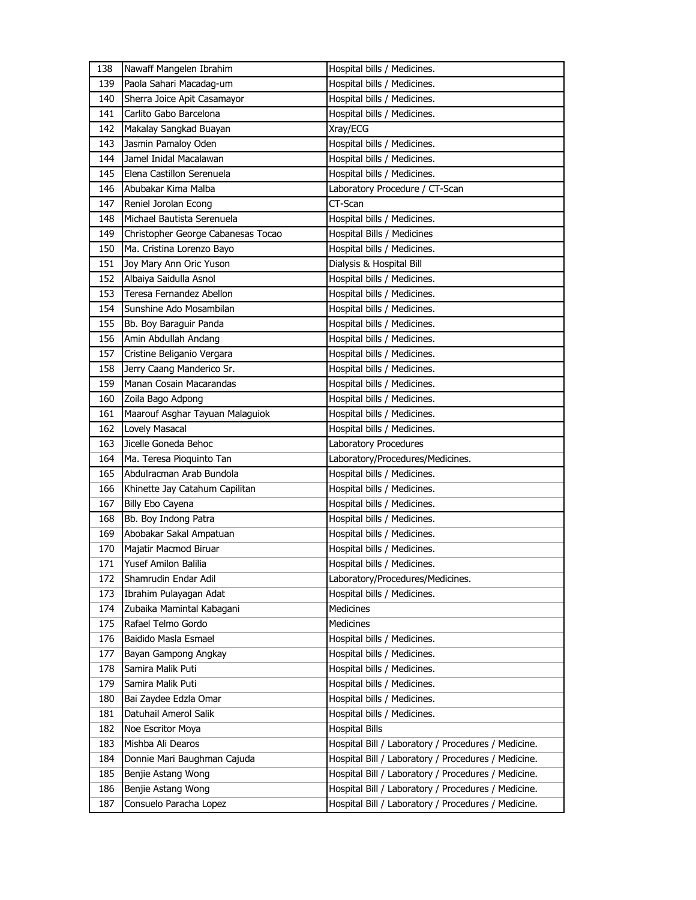| 138        | Nawaff Mangelen Ibrahim                              | Hospital bills / Medicines.                                                                                |
|------------|------------------------------------------------------|------------------------------------------------------------------------------------------------------------|
| 139        | Paola Sahari Macadag-um                              | Hospital bills / Medicines.                                                                                |
| 140        | Sherra Joice Apit Casamayor                          | Hospital bills / Medicines.                                                                                |
| 141        | Carlito Gabo Barcelona                               | Hospital bills / Medicines.                                                                                |
| 142        | Makalay Sangkad Buayan                               | Xray/ECG                                                                                                   |
| 143        | Jasmin Pamaloy Oden                                  | Hospital bills / Medicines.                                                                                |
| 144        | Jamel Inidal Macalawan                               | Hospital bills / Medicines.                                                                                |
| 145        | Elena Castillon Serenuela                            | Hospital bills / Medicines.                                                                                |
| 146        | Abubakar Kima Malba                                  | Laboratory Procedure / CT-Scan                                                                             |
| 147        | Reniel Jorolan Econg                                 | CT-Scan                                                                                                    |
| 148        | Michael Bautista Serenuela                           | Hospital bills / Medicines.                                                                                |
| 149        | Christopher George Cabanesas Tocao                   | Hospital Bills / Medicines                                                                                 |
| 150        | Ma. Cristina Lorenzo Bayo                            | Hospital bills / Medicines.                                                                                |
| 151        | Joy Mary Ann Oric Yuson                              | Dialysis & Hospital Bill                                                                                   |
| 152        | Albaiya Saidulla Asnol                               | Hospital bills / Medicines.                                                                                |
| 153        | Teresa Fernandez Abellon                             | Hospital bills / Medicines.                                                                                |
| 154        | Sunshine Ado Mosambilan                              | Hospital bills / Medicines.                                                                                |
| 155        | Bb. Boy Baraguir Panda                               | Hospital bills / Medicines.                                                                                |
| 156        | Amin Abdullah Andang                                 | Hospital bills / Medicines.                                                                                |
| 157        | Cristine Beliganio Vergara                           | Hospital bills / Medicines.                                                                                |
| 158        | Jerry Caang Manderico Sr.                            | Hospital bills / Medicines.                                                                                |
| 159        | Manan Cosain Macarandas                              | Hospital bills / Medicines.                                                                                |
| 160        | Zoila Bago Adpong                                    | Hospital bills / Medicines.                                                                                |
| 161        | Maarouf Asghar Tayuan Malaguiok                      | Hospital bills / Medicines.                                                                                |
| 162        | Lovely Masacal                                       | Hospital bills / Medicines.                                                                                |
| 163        | Jicelle Goneda Behoc                                 | Laboratory Procedures                                                                                      |
|            |                                                      |                                                                                                            |
| 164        |                                                      |                                                                                                            |
| 165        | Ma. Teresa Pioquinto Tan<br>Abdulracman Arab Bundola | Laboratory/Procedures/Medicines.                                                                           |
|            |                                                      | Hospital bills / Medicines.                                                                                |
| 166        | Khinette Jay Catahum Capilitan                       | Hospital bills / Medicines.                                                                                |
| 167<br>168 | Billy Ebo Cayena                                     | Hospital bills / Medicines.                                                                                |
| 169        | Bb. Boy Indong Patra                                 | Hospital bills / Medicines.                                                                                |
|            | Abobakar Sakal Ampatuan                              | Hospital bills / Medicines.                                                                                |
| 170<br>171 | Majatir Macmod Biruar<br>Yusef Amilon Balilia        | Hospital bills / Medicines.                                                                                |
|            |                                                      | Hospital bills / Medicines.                                                                                |
| 172        | Shamrudin Endar Adil                                 | Laboratory/Procedures/Medicines.<br>Hospital bills / Medicines.                                            |
| 173        | Ibrahim Pulayagan Adat                               |                                                                                                            |
| 174        | Zubaika Mamintal Kabagani                            | Medicines                                                                                                  |
| 175        | Rafael Telmo Gordo<br>Baidido Masla Esmael           | Medicines                                                                                                  |
| 176        |                                                      | Hospital bills / Medicines.<br>Hospital bills / Medicines.                                                 |
| 177        | Bayan Gampong Angkay                                 |                                                                                                            |
| 178        | Samira Malik Puti                                    | Hospital bills / Medicines.                                                                                |
| 179<br>180 | Samira Malik Puti<br>Bai Zaydee Edzla Omar           | Hospital bills / Medicines.<br>Hospital bills / Medicines.                                                 |
|            | Datuhail Amerol Salik                                |                                                                                                            |
| 181        |                                                      | Hospital bills / Medicines.                                                                                |
| 182<br>183 | Noe Escritor Moya                                    | <b>Hospital Bills</b>                                                                                      |
|            | Mishba Ali Dearos                                    | Hospital Bill / Laboratory / Procedures / Medicine.                                                        |
| 184        | Donnie Mari Baughman Cajuda                          | Hospital Bill / Laboratory / Procedures / Medicine.                                                        |
| 185        | Benjie Astang Wong                                   | Hospital Bill / Laboratory / Procedures / Medicine.                                                        |
| 186<br>187 | Benjie Astang Wong<br>Consuelo Paracha Lopez         | Hospital Bill / Laboratory / Procedures / Medicine.<br>Hospital Bill / Laboratory / Procedures / Medicine. |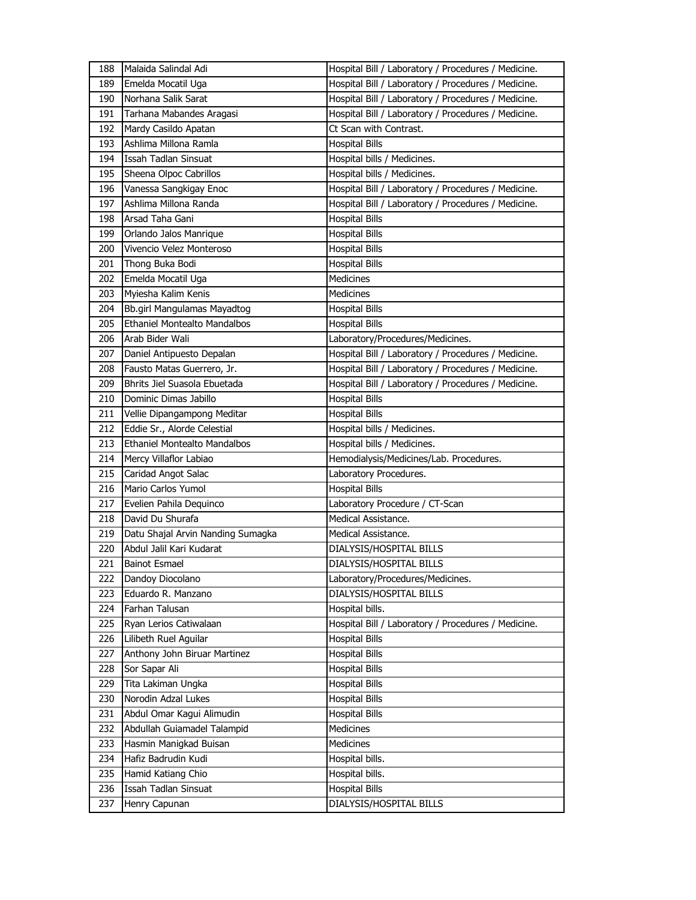| 188        | Malaida Salindal Adi                                          | Hospital Bill / Laboratory / Procedures / Medicine.                          |
|------------|---------------------------------------------------------------|------------------------------------------------------------------------------|
| 189        | Emelda Mocatil Uga                                            | Hospital Bill / Laboratory / Procedures / Medicine.                          |
| 190        | Norhana Salik Sarat                                           | Hospital Bill / Laboratory / Procedures / Medicine.                          |
| 191        | Tarhana Mabandes Aragasi                                      | Hospital Bill / Laboratory / Procedures / Medicine.                          |
| 192        | Mardy Casildo Apatan                                          | Ct Scan with Contrast.                                                       |
| 193        | Ashlima Millona Ramla                                         | <b>Hospital Bills</b>                                                        |
| 194        | <b>Issah Tadlan Sinsuat</b>                                   | Hospital bills / Medicines.                                                  |
| 195        | Sheena Olpoc Cabrillos                                        | Hospital bills / Medicines.                                                  |
| 196        | Vanessa Sangkigay Enoc                                        | Hospital Bill / Laboratory / Procedures / Medicine.                          |
| 197        | Ashlima Millona Randa                                         | Hospital Bill / Laboratory / Procedures / Medicine.                          |
| 198        | Arsad Taha Gani                                               | <b>Hospital Bills</b>                                                        |
| 199        | Orlando Jalos Manrique                                        | <b>Hospital Bills</b>                                                        |
| 200        | Vivencio Velez Monteroso                                      | <b>Hospital Bills</b>                                                        |
| 201        | Thong Buka Bodi                                               | <b>Hospital Bills</b>                                                        |
| 202        | Emelda Mocatil Uga                                            | <b>Medicines</b>                                                             |
| 203        | Myiesha Kalim Kenis                                           | Medicines                                                                    |
| 204        | Bb.girl Mangulamas Mayadtog                                   | <b>Hospital Bills</b>                                                        |
| 205        | <b>Ethaniel Montealto Mandalbos</b>                           | <b>Hospital Bills</b>                                                        |
| 206        | Arab Bider Wali                                               | Laboratory/Procedures/Medicines.                                             |
| 207        | Daniel Antipuesto Depalan                                     | Hospital Bill / Laboratory / Procedures / Medicine.                          |
| 208        | Fausto Matas Guerrero, Jr.                                    | Hospital Bill / Laboratory / Procedures / Medicine.                          |
| 209        | Bhrits Jiel Suasola Ebuetada                                  | Hospital Bill / Laboratory / Procedures / Medicine.                          |
| 210        | Dominic Dimas Jabillo                                         | <b>Hospital Bills</b>                                                        |
| 211        | Vellie Dipangampong Meditar                                   | Hospital Bills                                                               |
| 212        | Eddie Sr., Alorde Celestial                                   | Hospital bills / Medicines.                                                  |
|            |                                                               |                                                                              |
| 213        |                                                               |                                                                              |
|            | <b>Ethaniel Montealto Mandalbos</b>                           | Hospital bills / Medicines.                                                  |
| 214<br>215 | Mercy Villaflor Labiao                                        | Hemodialysis/Medicines/Lab. Procedures.                                      |
|            | Caridad Angot Salac                                           | Laboratory Procedures.                                                       |
| 216        | Mario Carlos Yumol                                            | <b>Hospital Bills</b>                                                        |
| 217        | Evelien Pahila Dequinco<br>David Du Shurafa                   | Laboratory Procedure / CT-Scan<br>Medical Assistance.                        |
| 218        |                                                               |                                                                              |
| 219<br>220 | Datu Shajal Arvin Nanding Sumagka<br>Abdul Jalil Kari Kudarat | Medical Assistance.                                                          |
| 221        | <b>Bainot Esmael</b>                                          | DIALYSIS/HOSPITAL BILLS                                                      |
| 222        |                                                               | DIALYSIS/HOSPITAL BILLS<br>Laboratory/Procedures/Medicines.                  |
| 223        | Dandoy Diocolano<br>Eduardo R. Manzano                        | DIALYSIS/HOSPITAL BILLS                                                      |
|            | Farhan Talusan                                                |                                                                              |
| 224<br>225 |                                                               | Hospital bills.                                                              |
| 226        | Ryan Lerios Catiwalaan<br>Lilibeth Ruel Aguilar               | Hospital Bill / Laboratory / Procedures / Medicine.<br><b>Hospital Bills</b> |
| 227        | Anthony John Biruar Martinez                                  | <b>Hospital Bills</b>                                                        |
| 228        |                                                               |                                                                              |
|            | Sor Sapar Ali                                                 | <b>Hospital Bills</b>                                                        |
| 229        | Tita Lakiman Ungka<br>Norodin Adzal Lukes                     | <b>Hospital Bills</b>                                                        |
| 230        |                                                               | <b>Hospital Bills</b>                                                        |
| 231        | Abdul Omar Kagui Alimudin                                     | <b>Hospital Bills</b>                                                        |
| 232        | Abdullah Guiamadel Talampid                                   | Medicines                                                                    |
| 233        | Hasmin Manigkad Buisan                                        | Medicines                                                                    |
| 234        | Hafiz Badrudin Kudi                                           | Hospital bills.                                                              |
| 235        | Hamid Katiang Chio                                            | Hospital bills.                                                              |
| 236<br>237 | <b>Issah Tadlan Sinsuat</b><br>Henry Capunan                  | <b>Hospital Bills</b><br>DIALYSIS/HOSPITAL BILLS                             |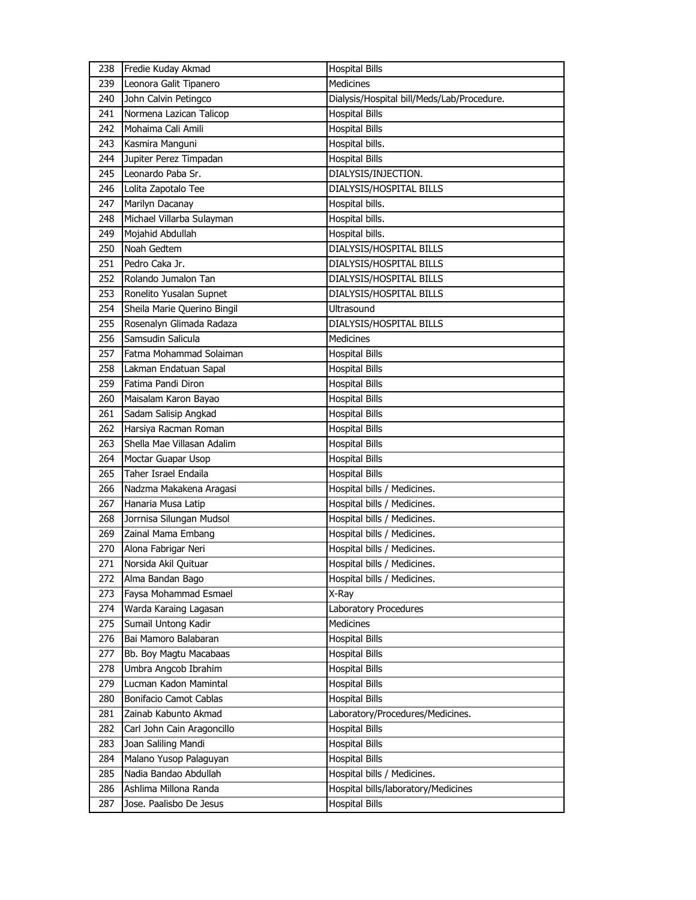| 238 | Fredie Kuday Akmad          | <b>Hospital Bills</b>                      |
|-----|-----------------------------|--------------------------------------------|
| 239 | Leonora Galit Tipanero      | Medicines                                  |
| 240 | John Calvin Petingco        | Dialysis/Hospital bill/Meds/Lab/Procedure. |
| 241 | Normena Lazican Talicop     | <b>Hospital Bills</b>                      |
| 242 | Mohaima Cali Amili          | <b>Hospital Bills</b>                      |
| 243 | Kasmira Manguni             | Hospital bills.                            |
| 244 | Jupiter Perez Timpadan      | <b>Hospital Bills</b>                      |
| 245 | Leonardo Paba Sr.           | DIALYSIS/INJECTION.                        |
| 246 | Lolita Zapotalo Tee         | DIALYSIS/HOSPITAL BILLS                    |
| 247 | Marilyn Dacanay             | Hospital bills.                            |
| 248 | Michael Villarba Sulayman   | Hospital bills.                            |
| 249 | Mojahid Abdullah            | Hospital bills.                            |
| 250 | Noah Gedtem                 | DIALYSIS/HOSPITAL BILLS                    |
| 251 | Pedro Caka Jr.              | DIALYSIS/HOSPITAL BILLS                    |
| 252 | Rolando Jumalon Tan         | DIALYSIS/HOSPITAL BILLS                    |
| 253 | Ronelito Yusalan Supnet     | DIALYSIS/HOSPITAL BILLS                    |
| 254 | Sheila Marie Querino Bingil | Ultrasound                                 |
| 255 | Rosenalyn Glimada Radaza    | DIALYSIS/HOSPITAL BILLS                    |
| 256 | Samsudin Salicula           | <b>Medicines</b>                           |
| 257 | Fatma Mohammad Solaiman     | <b>Hospital Bills</b>                      |
| 258 | Lakman Endatuan Sapal       | <b>Hospital Bills</b>                      |
| 259 | Fatima Pandi Diron          | <b>Hospital Bills</b>                      |
| 260 | Maisalam Karon Bayao        | <b>Hospital Bills</b>                      |
| 261 | Sadam Salisip Angkad        | <b>Hospital Bills</b>                      |
| 262 | Harsiya Racman Roman        | <b>Hospital Bills</b>                      |
| 263 | Shella Mae Villasan Adalim  | <b>Hospital Bills</b>                      |
| 264 | Moctar Guapar Usop          | <b>Hospital Bills</b>                      |
| 265 | Taher Israel Endaila        | <b>Hospital Bills</b>                      |
| 266 | Nadzma Makakena Aragasi     | Hospital bills / Medicines.                |
| 267 | Hanaria Musa Latip          | Hospital bills / Medicines.                |
| 268 | Jorrnisa Silungan Mudsol    | Hospital bills / Medicines.                |
| 269 | Zainal Mama Embang          | Hospital bills / Medicines.                |
| 270 | Alona Fabrigar Neri         | Hospital bills / Medicines.                |
| 271 | Norsida Akil Quituar        | Hospital bills / Medicines.                |
| 272 | Alma Bandan Bago            | Hospital bills / Medicines.                |
| 273 | Faysa Mohammad Esmael       | X-Ray                                      |
| 274 | Warda Karaing Lagasan       | Laboratory Procedures                      |
| 275 | Sumail Untong Kadir         | Medicines                                  |
| 276 | Bai Mamoro Balabaran        | <b>Hospital Bills</b>                      |
| 277 | Bb. Boy Magtu Macabaas      | <b>Hospital Bills</b>                      |
| 278 | Umbra Angcob Ibrahim        | <b>Hospital Bills</b>                      |
| 279 | Lucman Kadon Mamintal       | <b>Hospital Bills</b>                      |
| 280 | Bonifacio Camot Cablas      | <b>Hospital Bills</b>                      |
| 281 | Zainab Kabunto Akmad        | Laboratory/Procedures/Medicines.           |
| 282 | Carl John Cain Aragoncillo  | <b>Hospital Bills</b>                      |
| 283 | Joan Saliling Mandi         | <b>Hospital Bills</b>                      |
| 284 | Malano Yusop Palaguyan      | <b>Hospital Bills</b>                      |
| 285 | Nadia Bandao Abdullah       | Hospital bills / Medicines.                |
| 286 | Ashlima Millona Randa       | Hospital bills/laboratory/Medicines        |
| 287 | Jose. Paalisbo De Jesus     | <b>Hospital Bills</b>                      |
|     |                             |                                            |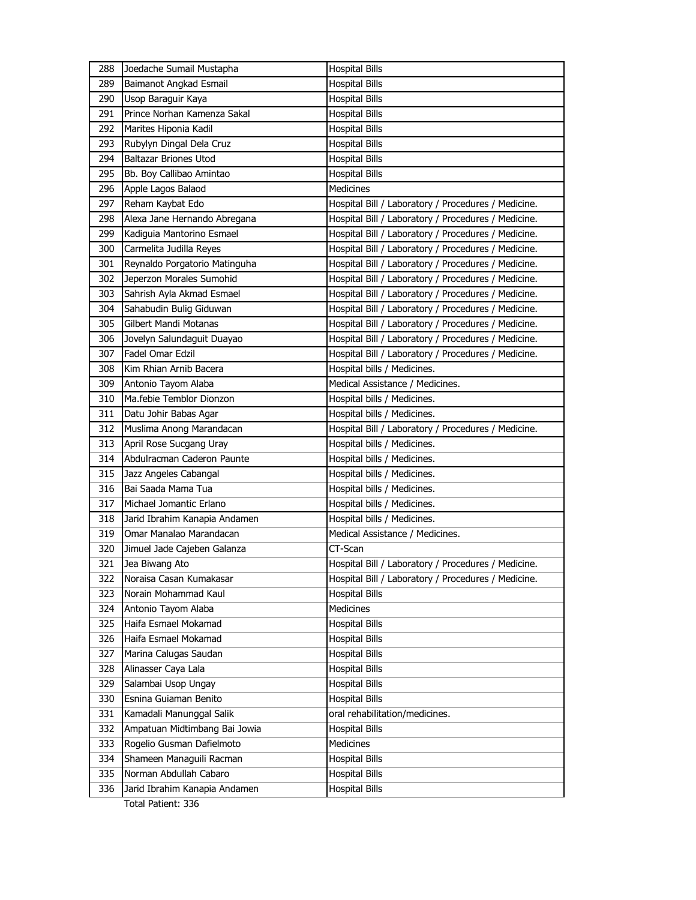| 288 | Joedache Sumail Mustapha      | <b>Hospital Bills</b>                               |
|-----|-------------------------------|-----------------------------------------------------|
| 289 | Baimanot Angkad Esmail        | <b>Hospital Bills</b>                               |
| 290 | Usop Baraguir Kaya            | <b>Hospital Bills</b>                               |
| 291 | Prince Norhan Kamenza Sakal   | <b>Hospital Bills</b>                               |
| 292 | Marites Hiponia Kadil         | <b>Hospital Bills</b>                               |
| 293 | Rubylyn Dingal Dela Cruz      | <b>Hospital Bills</b>                               |
| 294 | Baltazar Briones Utod         | Hospital Bills                                      |
| 295 | Bb. Boy Callibao Amintao      | <b>Hospital Bills</b>                               |
| 296 | Apple Lagos Balaod            | Medicines                                           |
| 297 | Reham Kaybat Edo              | Hospital Bill / Laboratory / Procedures / Medicine. |
| 298 | Alexa Jane Hernando Abregana  | Hospital Bill / Laboratory / Procedures / Medicine. |
| 299 | Kadiguia Mantorino Esmael     | Hospital Bill / Laboratory / Procedures / Medicine. |
| 300 | Carmelita Judilla Reyes       | Hospital Bill / Laboratory / Procedures / Medicine. |
| 301 | Reynaldo Porgatorio Matinguha | Hospital Bill / Laboratory / Procedures / Medicine. |
| 302 | Jeperzon Morales Sumohid      | Hospital Bill / Laboratory / Procedures / Medicine. |
| 303 | Sahrish Ayla Akmad Esmael     | Hospital Bill / Laboratory / Procedures / Medicine. |
| 304 | Sahabudin Bulig Giduwan       | Hospital Bill / Laboratory / Procedures / Medicine. |
| 305 | Gilbert Mandi Motanas         | Hospital Bill / Laboratory / Procedures / Medicine. |
| 306 | Jovelyn Salundaguit Duayao    | Hospital Bill / Laboratory / Procedures / Medicine. |
| 307 | Fadel Omar Edzil              | Hospital Bill / Laboratory / Procedures / Medicine. |
| 308 | Kim Rhian Arnib Bacera        | Hospital bills / Medicines.                         |
| 309 | Antonio Tayom Alaba           | Medical Assistance / Medicines.                     |
| 310 | Ma.febie Temblor Dionzon      | Hospital bills / Medicines.                         |
| 311 | Datu Johir Babas Agar         | Hospital bills / Medicines.                         |
| 312 | Muslima Anong Marandacan      | Hospital Bill / Laboratory / Procedures / Medicine. |
| 313 | April Rose Sucgang Uray       | Hospital bills / Medicines.                         |
| 314 | Abdulracman Caderon Paunte    | Hospital bills / Medicines.                         |
| 315 | Jazz Angeles Cabangal         | Hospital bills / Medicines.                         |
| 316 | Bai Saada Mama Tua            | Hospital bills / Medicines.                         |
| 317 | Michael Jomantic Erlano       | Hospital bills / Medicines.                         |
| 318 | Jarid Ibrahim Kanapia Andamen | Hospital bills / Medicines.                         |
| 319 | Omar Manalao Marandacan       | Medical Assistance / Medicines.                     |
| 320 | Jimuel Jade Cajeben Galanza   | CT-Scan                                             |
| 321 | Jea Biwang Ato                | Hospital Bill / Laboratory / Procedures / Medicine. |
| 322 | Noraisa Casan Kumakasar       | Hospital Bill / Laboratory / Procedures / Medicine. |
| 323 | Norain Mohammad Kaul          | <b>Hospital Bills</b>                               |
| 324 | Antonio Tayom Alaba           | Medicines                                           |
| 325 | Haifa Esmael Mokamad          | <b>Hospital Bills</b>                               |
| 326 | Haifa Esmael Mokamad          | <b>Hospital Bills</b>                               |
| 327 | Marina Calugas Saudan         | <b>Hospital Bills</b>                               |
| 328 | Alinasser Caya Lala           | Hospital Bills                                      |
| 329 | Salambai Usop Ungay           | Hospital Bills                                      |
| 330 | Esnina Guiaman Benito         | <b>Hospital Bills</b>                               |
| 331 | Kamadali Manunggal Salik      | oral rehabilitation/medicines.                      |
| 332 | Ampatuan Midtimbang Bai Jowia | <b>Hospital Bills</b>                               |
| 333 | Rogelio Gusman Dafielmoto     | Medicines                                           |
| 334 | Shameen Managuili Racman      | <b>Hospital Bills</b>                               |
| 335 | Norman Abdullah Cabaro        | <b>Hospital Bills</b>                               |
| 336 | Jarid Ibrahim Kanapia Andamen | <b>Hospital Bills</b>                               |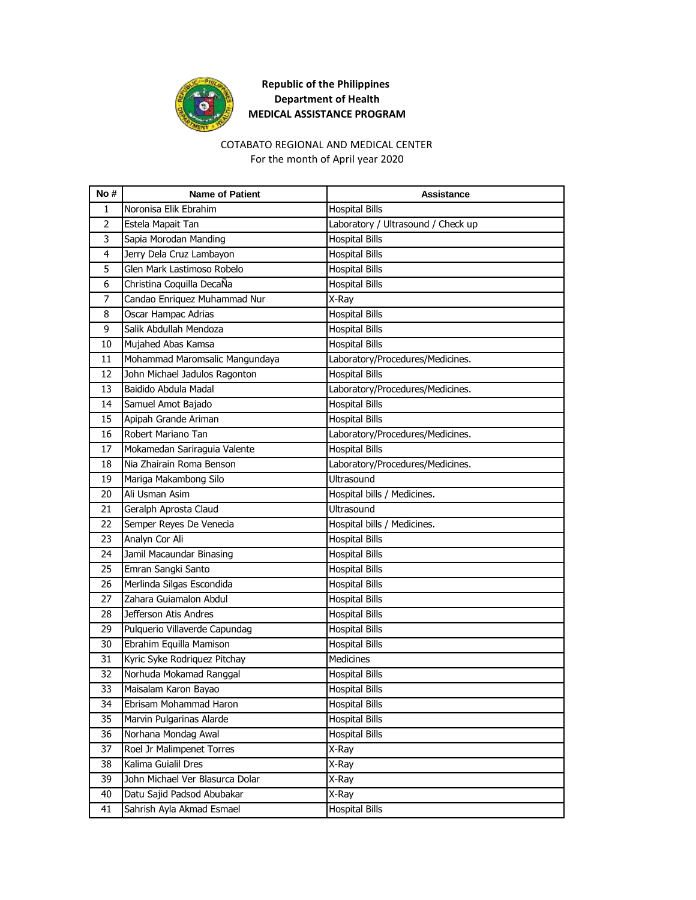

#### COTABATO REGIONAL AND MEDICAL CENTER

For the month of April year 2020

| No# | <b>Name of Patient</b>          | Assistance                         |
|-----|---------------------------------|------------------------------------|
| 1   | Noronisa Elik Ebrahim           | <b>Hospital Bills</b>              |
| 2   | Estela Mapait Tan               | Laboratory / Ultrasound / Check up |
| 3   | Sapia Morodan Manding           | <b>Hospital Bills</b>              |
| 4   | Jerry Dela Cruz Lambayon        | <b>Hospital Bills</b>              |
| 5   | Glen Mark Lastimoso Robelo      | <b>Hospital Bills</b>              |
| 6   | Christina Coquilla DecaÑa       | <b>Hospital Bills</b>              |
| 7   | Candao Enriquez Muhammad Nur    | X-Ray                              |
| 8   | Oscar Hampac Adrias             | <b>Hospital Bills</b>              |
| 9   | Salik Abdullah Mendoza          | <b>Hospital Bills</b>              |
| 10  | Mujahed Abas Kamsa              | <b>Hospital Bills</b>              |
| 11  | Mohammad Maromsalic Mangundaya  | Laboratory/Procedures/Medicines.   |
| 12  | John Michael Jadulos Ragonton   | <b>Hospital Bills</b>              |
| 13  | Baidido Abdula Madal            | Laboratory/Procedures/Medicines.   |
| 14  | Samuel Amot Bajado              | <b>Hospital Bills</b>              |
| 15  | Apipah Grande Ariman            | <b>Hospital Bills</b>              |
| 16  | Robert Mariano Tan              | Laboratory/Procedures/Medicines.   |
| 17  | Mokamedan Sariraguia Valente    | <b>Hospital Bills</b>              |
| 18  | Nia Zhairain Roma Benson        | Laboratory/Procedures/Medicines.   |
| 19  | Mariga Makambong Silo           | Ultrasound                         |
| 20  | Ali Usman Asim                  | Hospital bills / Medicines.        |
| 21  | Geralph Aprosta Claud           | Ultrasound                         |
| 22  | Semper Reyes De Venecia         | Hospital bills / Medicines.        |
| 23  | Analyn Cor Ali                  | <b>Hospital Bills</b>              |
| 24  | Jamil Macaundar Binasing        | <b>Hospital Bills</b>              |
| 25  | Emran Sangki Santo              | <b>Hospital Bills</b>              |
| 26  | Merlinda Silgas Escondida       | <b>Hospital Bills</b>              |
| 27  | Zahara Guiamalon Abdul          | <b>Hospital Bills</b>              |
| 28  | Jefferson Atis Andres           | <b>Hospital Bills</b>              |
| 29  | Pulquerio Villaverde Capundag   | <b>Hospital Bills</b>              |
| 30  | Ebrahim Equilla Mamison         | <b>Hospital Bills</b>              |
| 31  | Kyric Syke Rodriquez Pitchay    | Medicines                          |
| 32  | Norhuda Mokamad Ranggal         | <b>Hospital Bills</b>              |
| 33  | Maisalam Karon Bayao            | <b>Hospital Bills</b>              |
| 34  | Ebrisam Mohammad Haron          | <b>Hospital Bills</b>              |
| 35  | Marvin Pulgarinas Alarde        | <b>Hospital Bills</b>              |
| 36  | Norhana Mondag Awal             | <b>Hospital Bills</b>              |
| 37  | Roel Jr Malimpenet Torres       | X-Ray                              |
| 38  | Kalima Guialil Dres             | X-Ray                              |
| 39  | John Michael Ver Blasurca Dolar | X-Ray                              |
| 40  | Datu Sajid Padsod Abubakar      | X-Ray                              |
| 41  | Sahrish Ayla Akmad Esmael       | <b>Hospital Bills</b>              |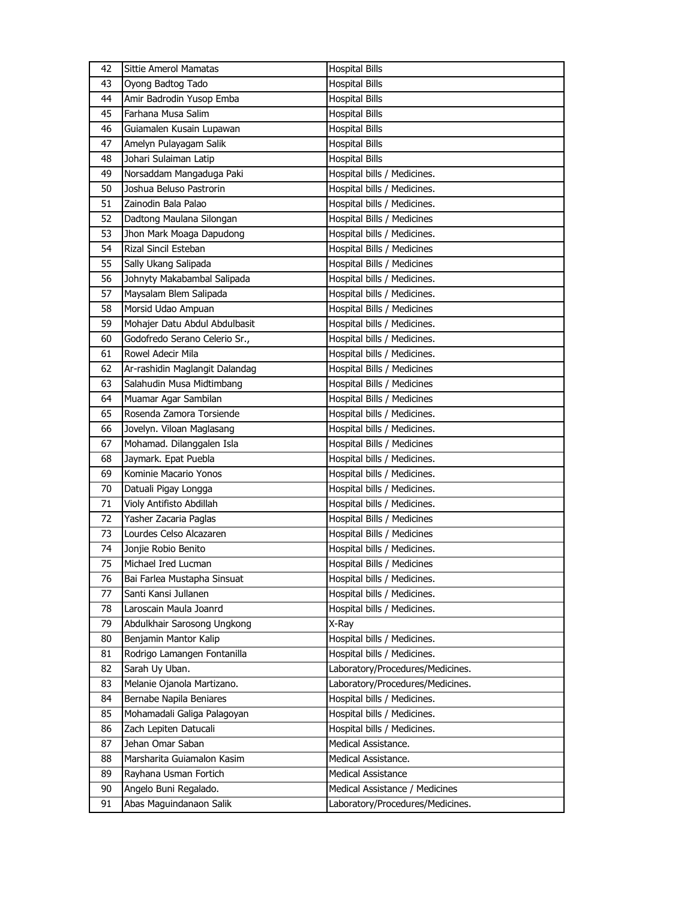| 42 | Sittie Amerol Mamatas          | <b>Hospital Bills</b>            |
|----|--------------------------------|----------------------------------|
| 43 | Oyong Badtog Tado              | <b>Hospital Bills</b>            |
| 44 | Amir Badrodin Yusop Emba       | <b>Hospital Bills</b>            |
| 45 | Farhana Musa Salim             | <b>Hospital Bills</b>            |
| 46 | Guiamalen Kusain Lupawan       | <b>Hospital Bills</b>            |
| 47 | Amelyn Pulayagam Salik         | Hospital Bills                   |
| 48 | Johari Sulaiman Latip          | Hospital Bills                   |
| 49 | Norsaddam Mangaduga Paki       | Hospital bills / Medicines.      |
| 50 | Joshua Beluso Pastrorin        | Hospital bills / Medicines.      |
| 51 | Zainodin Bala Palao            | Hospital bills / Medicines.      |
| 52 | Dadtong Maulana Silongan       | Hospital Bills / Medicines       |
| 53 | Jhon Mark Moaga Dapudong       | Hospital bills / Medicines.      |
| 54 | Rizal Sincil Esteban           | Hospital Bills / Medicines       |
| 55 | Sally Ukang Salipada           | Hospital Bills / Medicines       |
| 56 | Johnyty Makabambal Salipada    | Hospital bills / Medicines.      |
| 57 | Maysalam Blem Salipada         | Hospital bills / Medicines.      |
| 58 | Morsid Udao Ampuan             | Hospital Bills / Medicines       |
| 59 | Mohajer Datu Abdul Abdulbasit  | Hospital bills / Medicines.      |
| 60 | Godofredo Serano Celerio Sr.,  | Hospital bills / Medicines.      |
| 61 | Rowel Adecir Mila              | Hospital bills / Medicines.      |
| 62 | Ar-rashidin Maglangit Dalandag | Hospital Bills / Medicines       |
| 63 | Salahudin Musa Midtimbang      | Hospital Bills / Medicines       |
| 64 | Muamar Agar Sambilan           | Hospital Bills / Medicines       |
| 65 | Rosenda Zamora Torsiende       | Hospital bills / Medicines.      |
| 66 | Jovelyn. Viloan Maglasang      | Hospital bills / Medicines.      |
| 67 | Mohamad. Dilanggalen Isla      | Hospital Bills / Medicines       |
| 68 | Jaymark. Epat Puebla           | Hospital bills / Medicines.      |
| 69 | Kominie Macario Yonos          | Hospital bills / Medicines.      |
| 70 | Datuali Pigay Longga           | Hospital bills / Medicines.      |
| 71 | Violy Antifisto Abdillah       | Hospital bills / Medicines.      |
| 72 | Yasher Zacaria Paglas          | Hospital Bills / Medicines       |
| 73 | Lourdes Celso Alcazaren        | Hospital Bills / Medicines       |
| 74 | Jonjie Robio Benito            | Hospital bills / Medicines.      |
| 75 | Michael Ired Lucman            | Hospital Bills / Medicines       |
| 76 | Bai Farlea Mustapha Sinsuat    | Hospital bills / Medicines.      |
| 77 | Santi Kansi Jullanen           | Hospital bills / Medicines.      |
| 78 | Laroscain Maula Joanrd         | Hospital bills / Medicines.      |
| 79 | Abdulkhair Sarosong Ungkong    | X-Ray                            |
| 80 | Benjamin Mantor Kalip          | Hospital bills / Medicines.      |
| 81 | Rodrigo Lamangen Fontanilla    | Hospital bills / Medicines.      |
| 82 | Sarah Uy Uban.                 | Laboratory/Procedures/Medicines. |
| 83 | Melanie Ojanola Martizano.     | Laboratory/Procedures/Medicines. |
| 84 | Bernabe Napila Beniares        | Hospital bills / Medicines.      |
| 85 | Mohamadali Galiga Palagoyan    | Hospital bills / Medicines.      |
| 86 | Zach Lepiten Datucali          | Hospital bills / Medicines.      |
| 87 | Jehan Omar Saban               | Medical Assistance.              |
| 88 | Marsharita Guiamalon Kasim     | Medical Assistance.              |
| 89 | Rayhana Usman Fortich          | Medical Assistance               |
| 90 | Angelo Buni Regalado.          | Medical Assistance / Medicines   |
| 91 | Abas Maguindanaon Salik        | Laboratory/Procedures/Medicines. |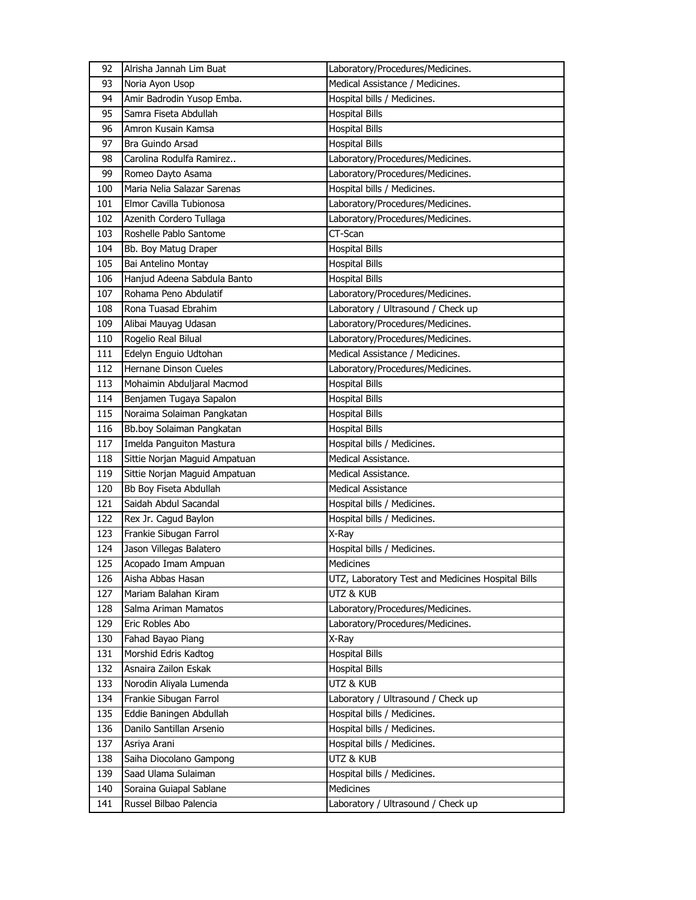| 92  | Alrisha Jannah Lim Buat       | Laboratory/Procedures/Medicines.                  |
|-----|-------------------------------|---------------------------------------------------|
| 93  | Noria Ayon Usop               | Medical Assistance / Medicines.                   |
| 94  | Amir Badrodin Yusop Emba.     | Hospital bills / Medicines.                       |
| 95  | Samra Fiseta Abdullah         | <b>Hospital Bills</b>                             |
| 96  | Amron Kusain Kamsa            | <b>Hospital Bills</b>                             |
| 97  | Bra Guindo Arsad              | <b>Hospital Bills</b>                             |
| 98  | Carolina Rodulfa Ramirez      | Laboratory/Procedures/Medicines.                  |
| 99  | Romeo Dayto Asama             | Laboratory/Procedures/Medicines.                  |
| 100 | Maria Nelia Salazar Sarenas   | Hospital bills / Medicines.                       |
| 101 | Elmor Cavilla Tubionosa       | Laboratory/Procedures/Medicines.                  |
| 102 | Azenith Cordero Tullaga       | Laboratory/Procedures/Medicines.                  |
| 103 | Roshelle Pablo Santome        | CT-Scan                                           |
| 104 | Bb. Boy Matug Draper          | <b>Hospital Bills</b>                             |
| 105 | Bai Antelino Montay           | <b>Hospital Bills</b>                             |
| 106 | Hanjud Adeena Sabdula Banto   | <b>Hospital Bills</b>                             |
| 107 | Rohama Peno Abdulatif         | Laboratory/Procedures/Medicines.                  |
| 108 | Rona Tuasad Ebrahim           | Laboratory / Ultrasound / Check up                |
| 109 | Alibai Mauyag Udasan          | Laboratory/Procedures/Medicines.                  |
| 110 | Rogelio Real Bilual           | Laboratory/Procedures/Medicines.                  |
| 111 | Edelyn Enguio Udtohan         | Medical Assistance / Medicines.                   |
| 112 | Hernane Dinson Cueles         | Laboratory/Procedures/Medicines.                  |
| 113 | Mohaimin Abduljaral Macmod    | <b>Hospital Bills</b>                             |
| 114 | Benjamen Tugaya Sapalon       | <b>Hospital Bills</b>                             |
| 115 | Noraima Solaiman Pangkatan    | <b>Hospital Bills</b>                             |
| 116 | Bb.boy Solaiman Pangkatan     | <b>Hospital Bills</b>                             |
| 117 | Imelda Panguiton Mastura      | Hospital bills / Medicines.                       |
| 118 | Sittie Norjan Maguid Ampatuan | Medical Assistance.                               |
| 119 | Sittie Norjan Maguid Ampatuan | Medical Assistance.                               |
| 120 | Bb Boy Fiseta Abdullah        | <b>Medical Assistance</b>                         |
| 121 | Saidah Abdul Sacandal         | Hospital bills / Medicines.                       |
| 122 | Rex Jr. Cagud Baylon          | Hospital bills / Medicines.                       |
| 123 | Frankie Sibugan Farrol        | X-Ray                                             |
| 124 | Jason Villegas Balatero       | Hospital bills / Medicines.                       |
| 125 | Acopado Imam Ampuan           | Medicines                                         |
| 126 | Aisha Abbas Hasan             | UTZ, Laboratory Test and Medicines Hospital Bills |
| 127 | Mariam Balahan Kiram          | UTZ & KUB                                         |
| 128 | Salma Ariman Mamatos          | Laboratory/Procedures/Medicines.                  |
| 129 | Eric Robles Abo               | Laboratory/Procedures/Medicines.                  |
| 130 | Fahad Bayao Piang             | X-Ray                                             |
| 131 | Morshid Edris Kadtog          | <b>Hospital Bills</b>                             |
| 132 | Asnaira Zailon Eskak          | <b>Hospital Bills</b>                             |
| 133 | Norodin Aliyala Lumenda       | UTZ & KUB                                         |
| 134 | Frankie Sibugan Farrol        | Laboratory / Ultrasound / Check up                |
| 135 | Eddie Baningen Abdullah       | Hospital bills / Medicines.                       |
| 136 | Danilo Santillan Arsenio      | Hospital bills / Medicines.                       |
| 137 | Asriya Arani                  | Hospital bills / Medicines.                       |
| 138 | Saiha Diocolano Gampong       | UTZ & KUB                                         |
| 139 | Saad Ulama Sulaiman           | Hospital bills / Medicines.                       |
| 140 | Soraina Guiapal Sablane       | Medicines                                         |
| 141 | Russel Bilbao Palencia        | Laboratory / Ultrasound / Check up                |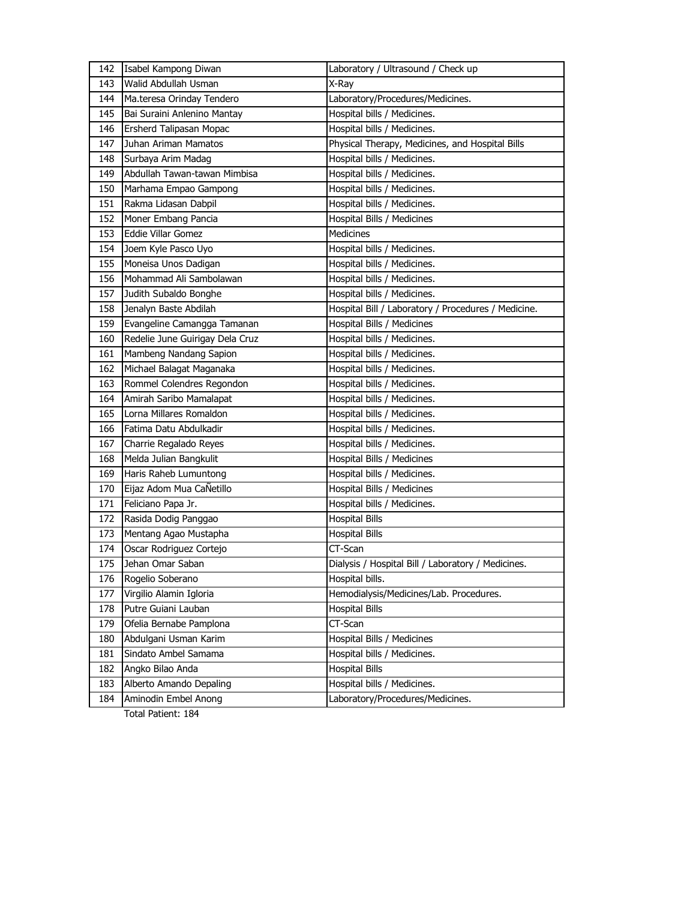| 142 | Isabel Kampong Diwan            | Laboratory / Ultrasound / Check up                  |
|-----|---------------------------------|-----------------------------------------------------|
| 143 | Walid Abdullah Usman            | X-Ray                                               |
| 144 | Ma.teresa Orinday Tendero       | Laboratory/Procedures/Medicines.                    |
| 145 | Bai Suraini Anlenino Mantay     | Hospital bills / Medicines.                         |
| 146 | Ersherd Talipasan Mopac         | Hospital bills / Medicines.                         |
| 147 | Juhan Ariman Mamatos            | Physical Therapy, Medicines, and Hospital Bills     |
| 148 | Surbaya Arim Madag              | Hospital bills / Medicines.                         |
| 149 | Abdullah Tawan-tawan Mimbisa    | Hospital bills / Medicines.                         |
| 150 | Marhama Empao Gampong           | Hospital bills / Medicines.                         |
| 151 | Rakma Lidasan Dabpil            | Hospital bills / Medicines.                         |
| 152 | Moner Embang Pancia             | Hospital Bills / Medicines                          |
| 153 | Eddie Villar Gomez              | <b>Medicines</b>                                    |
| 154 | Joem Kyle Pasco Uyo             | Hospital bills / Medicines.                         |
| 155 | Moneisa Unos Dadigan            | Hospital bills / Medicines.                         |
| 156 | Mohammad Ali Sambolawan         | Hospital bills / Medicines.                         |
| 157 | Judith Subaldo Bonghe           | Hospital bills / Medicines.                         |
| 158 | Jenalyn Baste Abdilah           | Hospital Bill / Laboratory / Procedures / Medicine. |
| 159 | Evangeline Camangga Tamanan     | Hospital Bills / Medicines                          |
| 160 | Redelie June Guirigay Dela Cruz | Hospital bills / Medicines.                         |
| 161 | Mambeng Nandang Sapion          | Hospital bills / Medicines.                         |
| 162 | Michael Balagat Maganaka        | Hospital bills / Medicines.                         |
| 163 | Rommel Colendres Regondon       | Hospital bills / Medicines.                         |
| 164 | Amirah Saribo Mamalapat         | Hospital bills / Medicines.                         |
| 165 | Lorna Millares Romaldon         | Hospital bills / Medicines.                         |
| 166 | Fatima Datu Abdulkadir          | Hospital bills / Medicines.                         |
| 167 | Charrie Regalado Reyes          | Hospital bills / Medicines.                         |
| 168 | Melda Julian Bangkulit          | Hospital Bills / Medicines                          |
| 169 | Haris Raheb Lumuntong           | Hospital bills / Medicines.                         |
| 170 | Eijaz Adom Mua CaÑetillo        | Hospital Bills / Medicines                          |
| 171 | Feliciano Papa Jr.              | Hospital bills / Medicines.                         |
| 172 | Rasida Dodig Panggao            | <b>Hospital Bills</b>                               |
| 173 | Mentang Agao Mustapha           | <b>Hospital Bills</b>                               |
| 174 | Oscar Rodriguez Cortejo         | CT-Scan                                             |
| 175 | Jehan Omar Saban                | Dialysis / Hospital Bill / Laboratory / Medicines.  |
| 176 | Rogelio Soberano                | Hospital bills.                                     |
| 177 | Virgilio Alamin Igloria         | Hemodialysis/Medicines/Lab. Procedures.             |
| 178 | Putre Guiani Lauban             | <b>Hospital Bills</b>                               |
| 179 | Ofelia Bernabe Pamplona         | CT-Scan                                             |
| 180 | Abdulgani Usman Karim           | Hospital Bills / Medicines                          |
| 181 | Sindato Ambel Samama            | Hospital bills / Medicines.                         |
| 182 | Angko Bilao Anda                | <b>Hospital Bills</b>                               |
| 183 | Alberto Amando Depaling         | Hospital bills / Medicines.                         |
| 184 | Aminodin Embel Anong            | Laboratory/Procedures/Medicines.                    |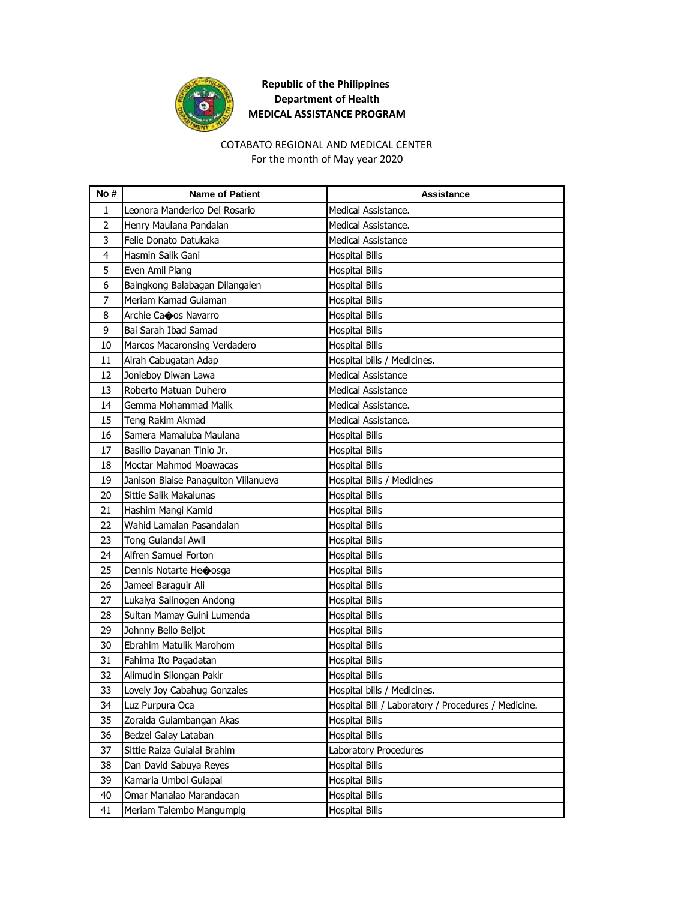

#### COTABATO REGIONAL AND MEDICAL CENTER

For the month of May year 2020

| No #           | <b>Name of Patient</b>               | Assistance                                          |
|----------------|--------------------------------------|-----------------------------------------------------|
| 1              | Leonora Manderico Del Rosario        | Medical Assistance.                                 |
| $\overline{2}$ | Henry Maulana Pandalan               | Medical Assistance.                                 |
| 3              | Felie Donato Datukaka                | <b>Medical Assistance</b>                           |
| 4              | Hasmin Salik Gani                    | <b>Hospital Bills</b>                               |
| 5              | Even Amil Plang                      | <b>Hospital Bills</b>                               |
| 6              | Baingkong Balabagan Dilangalen       | Hospital Bills                                      |
| 7              | Meriam Kamad Guiaman                 | <b>Hospital Bills</b>                               |
| 8              | Archie Caoos Navarro                 | <b>Hospital Bills</b>                               |
| 9              | Bai Sarah Ibad Samad                 | <b>Hospital Bills</b>                               |
| 10             | Marcos Macaronsing Verdadero         | Hospital Bills                                      |
| 11             | Airah Cabugatan Adap                 | Hospital bills / Medicines.                         |
| 12             | Jonieboy Diwan Lawa                  | <b>Medical Assistance</b>                           |
| 13             | Roberto Matuan Duhero                | <b>Medical Assistance</b>                           |
| 14             | Gemma Mohammad Malik                 | Medical Assistance.                                 |
| 15             | Teng Rakim Akmad                     | Medical Assistance.                                 |
| 16             | Samera Mamaluba Maulana              | <b>Hospital Bills</b>                               |
| 17             | Basilio Dayanan Tinio Jr.            | <b>Hospital Bills</b>                               |
| 18             | Moctar Mahmod Moawacas               | Hospital Bills                                      |
| 19             | Janison Blaise Panaguiton Villanueva | Hospital Bills / Medicines                          |
| 20             | Sittie Salik Makalunas               | Hospital Bills                                      |
| 21             | Hashim Mangi Kamid                   | <b>Hospital Bills</b>                               |
| 22             | Wahid Lamalan Pasandalan             | <b>Hospital Bills</b>                               |
| 23             | Tong Guiandal Awil                   | <b>Hospital Bills</b>                               |
| 24             | Alfren Samuel Forton                 | <b>Hospital Bills</b>                               |
| 25             | Dennis Notarte He $\bullet$ osga     | <b>Hospital Bills</b>                               |
| 26             | Jameel Baraguir Ali                  | Hospital Bills                                      |
| 27             | Lukaiya Salinogen Andong             | <b>Hospital Bills</b>                               |
| 28             | Sultan Mamay Guini Lumenda           | <b>Hospital Bills</b>                               |
| 29             | Johnny Bello Beljot                  | <b>Hospital Bills</b>                               |
| 30             | Ebrahim Matulik Marohom              | Hospital Bills                                      |
| 31             | Fahima Ito Pagadatan                 | <b>Hospital Bills</b>                               |
| 32             | Alimudin Silongan Pakir              | <b>Hospital Bills</b>                               |
| 33             | Lovely Joy Cabahug Gonzales          | Hospital bills / Medicines.                         |
| 34             | Luz Purpura Oca                      | Hospital Bill / Laboratory / Procedures / Medicine. |
| 35             | Zoraida Guiambangan Akas             | <b>Hospital Bills</b>                               |
| 36             | Bedzel Galay Lataban                 | <b>Hospital Bills</b>                               |
| 37             | Sittie Raiza Guialal Brahim          | Laboratory Procedures                               |
| 38             | Dan David Sabuya Reyes               | <b>Hospital Bills</b>                               |
| 39             | Kamaria Umbol Guiapal                | Hospital Bills                                      |
| 40             | Omar Manalao Marandacan              | <b>Hospital Bills</b>                               |
| 41             | Meriam Talembo Mangumpig             | <b>Hospital Bills</b>                               |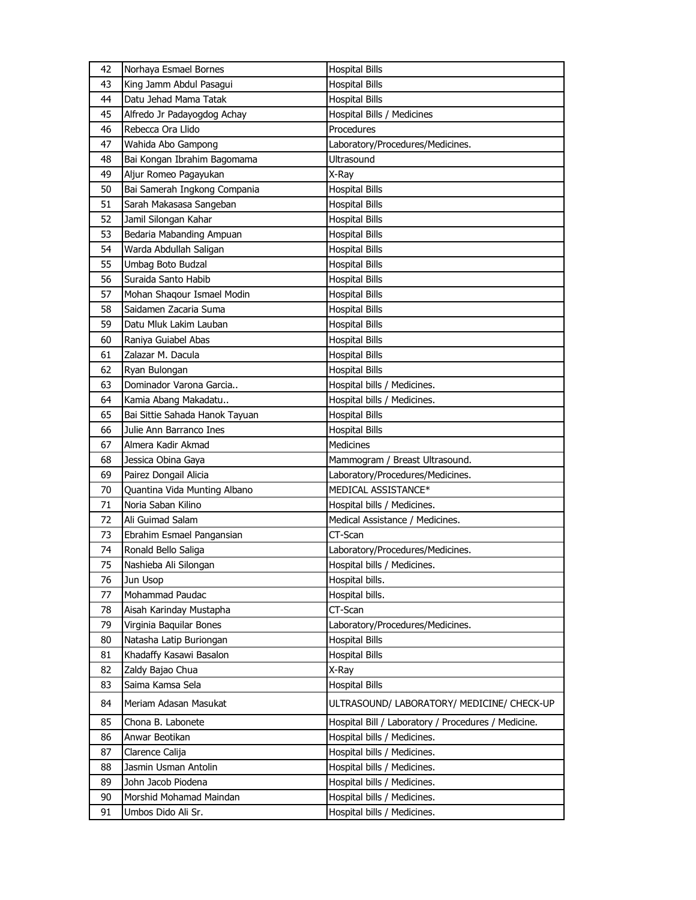| 42 | Norhaya Esmael Bornes          | <b>Hospital Bills</b>                               |
|----|--------------------------------|-----------------------------------------------------|
| 43 | King Jamm Abdul Pasagui        | <b>Hospital Bills</b>                               |
| 44 | Datu Jehad Mama Tatak          | <b>Hospital Bills</b>                               |
| 45 | Alfredo Jr Padayogdog Achay    | Hospital Bills / Medicines                          |
| 46 | Rebecca Ora Llido              | Procedures                                          |
| 47 | Wahida Abo Gampong             | Laboratory/Procedures/Medicines.                    |
| 48 | Bai Kongan Ibrahim Bagomama    | <b>Ultrasound</b>                                   |
| 49 | Aljur Romeo Pagayukan          | X-Ray                                               |
| 50 | Bai Samerah Ingkong Compania   | <b>Hospital Bills</b>                               |
| 51 | Sarah Makasasa Sangeban        | <b>Hospital Bills</b>                               |
| 52 | Jamil Silongan Kahar           | <b>Hospital Bills</b>                               |
| 53 | Bedaria Mabanding Ampuan       | <b>Hospital Bills</b>                               |
| 54 | Warda Abdullah Saligan         | Hospital Bills                                      |
| 55 | Umbag Boto Budzal              | <b>Hospital Bills</b>                               |
| 56 | Suraida Santo Habib            | <b>Hospital Bills</b>                               |
| 57 | Mohan Shaqour Ismael Modin     | <b>Hospital Bills</b>                               |
| 58 | Saidamen Zacaria Suma          | Hospital Bills                                      |
| 59 | Datu Mluk Lakim Lauban         | <b>Hospital Bills</b>                               |
| 60 | Raniya Guiabel Abas            | <b>Hospital Bills</b>                               |
| 61 | Zalazar M. Dacula              | <b>Hospital Bills</b>                               |
| 62 | Ryan Bulongan                  | <b>Hospital Bills</b>                               |
| 63 | Dominador Varona Garcia        | Hospital bills / Medicines.                         |
| 64 | Kamia Abang Makadatu           | Hospital bills / Medicines.                         |
| 65 | Bai Sittie Sahada Hanok Tayuan | <b>Hospital Bills</b>                               |
| 66 | Julie Ann Barranco Ines        | <b>Hospital Bills</b>                               |
| 67 | Almera Kadir Akmad             | Medicines                                           |
| 68 | Jessica Obina Gaya             | Mammogram / Breast Ultrasound.                      |
| 69 | Pairez Dongail Alicia          | Laboratory/Procedures/Medicines.                    |
| 70 | Quantina Vida Munting Albano   | MEDICAL ASSISTANCE*                                 |
| 71 | Noria Saban Kilino             | Hospital bills / Medicines.                         |
| 72 | Ali Guimad Salam               | Medical Assistance / Medicines.                     |
| 73 | Ebrahim Esmael Pangansian      | CT-Scan                                             |
| 74 | Ronald Bello Saliga            | Laboratory/Procedures/Medicines.                    |
| 75 | Nashieba Ali Silongan          | Hospital bills / Medicines.                         |
| 76 | Jun Usop                       | Hospital bills.                                     |
| 77 | Mohammad Paudac                | Hospital bills.                                     |
| 78 | Aisah Karinday Mustapha        | CT-Scan                                             |
| 79 | Virginia Baquilar Bones        | Laboratory/Procedures/Medicines.                    |
| 80 | Natasha Latip Buriongan        | <b>Hospital Bills</b>                               |
| 81 | Khadaffy Kasawi Basalon        | <b>Hospital Bills</b>                               |
| 82 | Zaldy Bajao Chua               | X-Ray                                               |
| 83 | Saima Kamsa Sela               | <b>Hospital Bills</b>                               |
|    |                                |                                                     |
| 84 | Meriam Adasan Masukat          | ULTRASOUND/ LABORATORY/ MEDICINE/ CHECK-UP          |
| 85 | Chona B. Labonete              | Hospital Bill / Laboratory / Procedures / Medicine. |
| 86 | Anwar Beotikan                 | Hospital bills / Medicines.                         |
| 87 | Clarence Calija                | Hospital bills / Medicines.                         |
| 88 | Jasmin Usman Antolin           | Hospital bills / Medicines.                         |
| 89 | John Jacob Piodena             | Hospital bills / Medicines.                         |
| 90 | Morshid Mohamad Maindan        | Hospital bills / Medicines.                         |
| 91 | Umbos Dido Ali Sr.             | Hospital bills / Medicines.                         |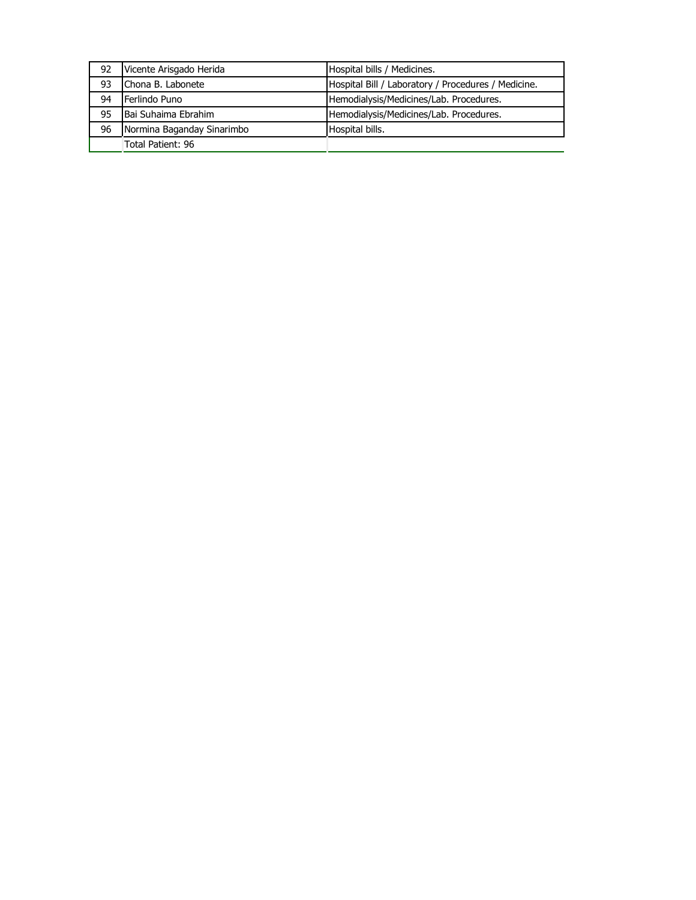| 92 | Vicente Arisgado Herida    | Hospital bills / Medicines.                         |
|----|----------------------------|-----------------------------------------------------|
| 93 | Chona B. Labonete          | Hospital Bill / Laboratory / Procedures / Medicine. |
| 94 | Ferlindo Puno              | Hemodialysis/Medicines/Lab. Procedures.             |
| 95 | Bai Suhaima Ebrahim        | Hemodialysis/Medicines/Lab. Procedures.             |
| 96 | Normina Baganday Sinarimbo | Hospital bills.                                     |
|    | Total Patient: 96          |                                                     |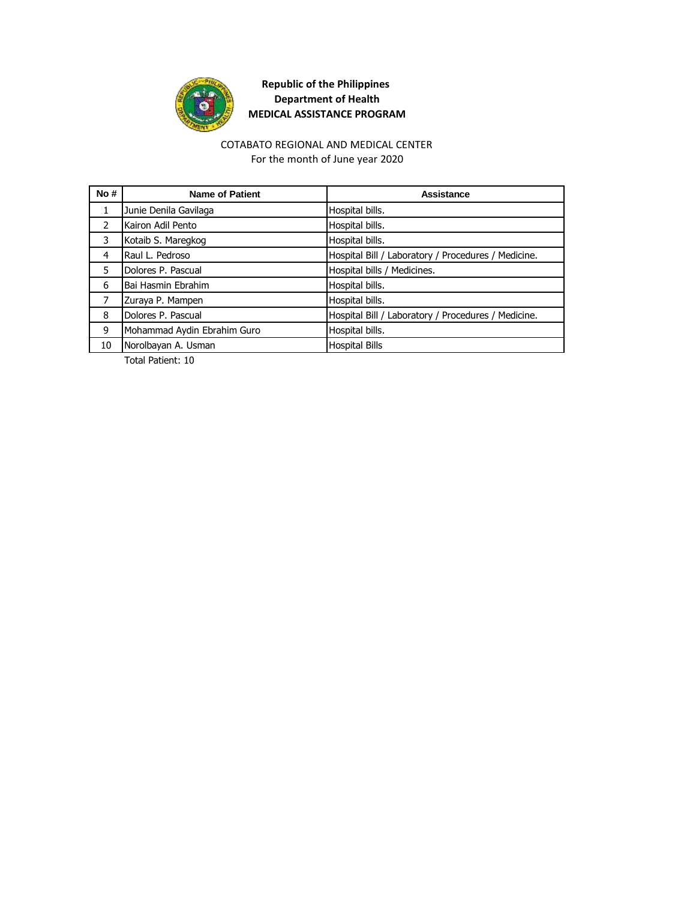

# COTABATO REGIONAL AND MEDICAL CENTER

For the month of June year 2020

| No#           | <b>Name of Patient</b>      | Assistance                                          |
|---------------|-----------------------------|-----------------------------------------------------|
| 1             | Junie Denila Gavilaga       | Hospital bills.                                     |
| $\mathcal{P}$ | Kairon Adil Pento           | Hospital bills.                                     |
| 3             | Kotaib S. Maregkog          | Hospital bills.                                     |
| 4             | Raul L. Pedroso             | Hospital Bill / Laboratory / Procedures / Medicine. |
| 5             | Dolores P. Pascual          | Hospital bills / Medicines.                         |
| 6             | Bai Hasmin Ebrahim          | Hospital bills.                                     |
| 7             | Zuraya P. Mampen            | Hospital bills.                                     |
| 8             | Dolores P. Pascual          | Hospital Bill / Laboratory / Procedures / Medicine. |
| 9             | Mohammad Aydin Ebrahim Guro | Hospital bills.                                     |
| 10            | Norolbayan A. Usman         | <b>Hospital Bills</b>                               |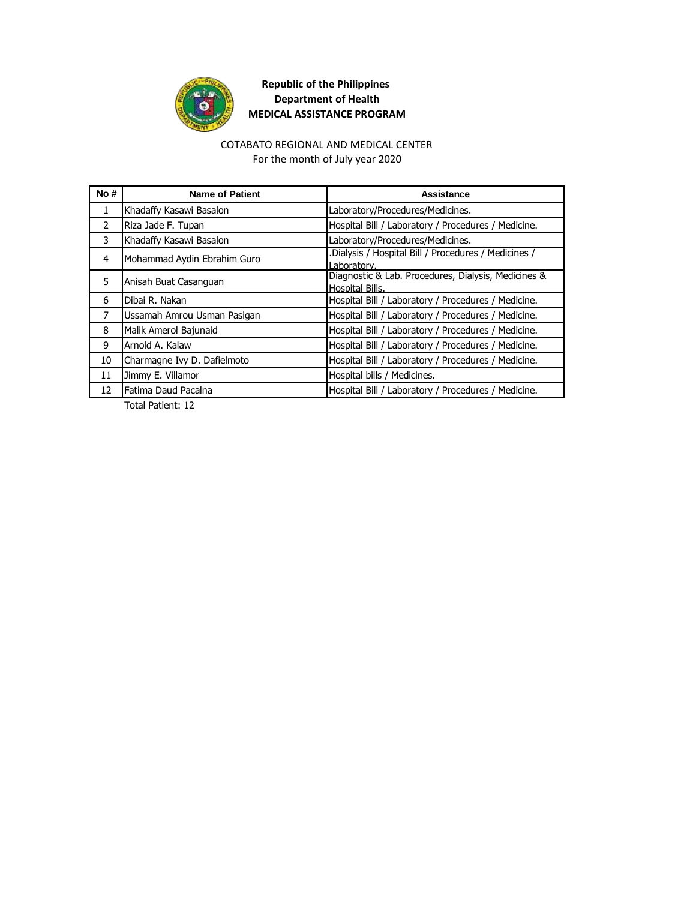

#### COTABATO REGIONAL AND MEDICAL CENTER

For the month of July year 2020

| No#            | <b>Name of Patient</b>      | Assistance                                                             |
|----------------|-----------------------------|------------------------------------------------------------------------|
| 1              | Khadaffy Kasawi Basalon     | Laboratory/Procedures/Medicines.                                       |
| $\mathcal{P}$  | Riza Jade F. Tupan          | Hospital Bill / Laboratory / Procedures / Medicine.                    |
| 3              | Khadaffy Kasawi Basalon     | Laboratory/Procedures/Medicines.                                       |
| 4              | Mohammad Aydin Ebrahim Guro | Dialysis / Hospital Bill / Procedures / Medicines /<br>Laboratory.     |
| 5              | Anisah Buat Casanguan       | Diagnostic & Lab. Procedures, Dialysis, Medicines &<br>Hospital Bills. |
| 6              | Dibai R. Nakan              | Hospital Bill / Laboratory / Procedures / Medicine.                    |
| $\overline{7}$ | Ussamah Amrou Usman Pasigan | Hospital Bill / Laboratory / Procedures / Medicine.                    |
| 8              | Malik Amerol Bajunaid       | Hospital Bill / Laboratory / Procedures / Medicine.                    |
| 9              | Arnold A. Kalaw             | Hospital Bill / Laboratory / Procedures / Medicine.                    |
| 10             | Charmagne Ivy D. Dafielmoto | Hospital Bill / Laboratory / Procedures / Medicine.                    |
| 11             | Jimmy E. Villamor           | Hospital bills / Medicines.                                            |
| 12             | Fatima Daud Pacalna         | Hospital Bill / Laboratory / Procedures / Medicine.                    |
|                |                             |                                                                        |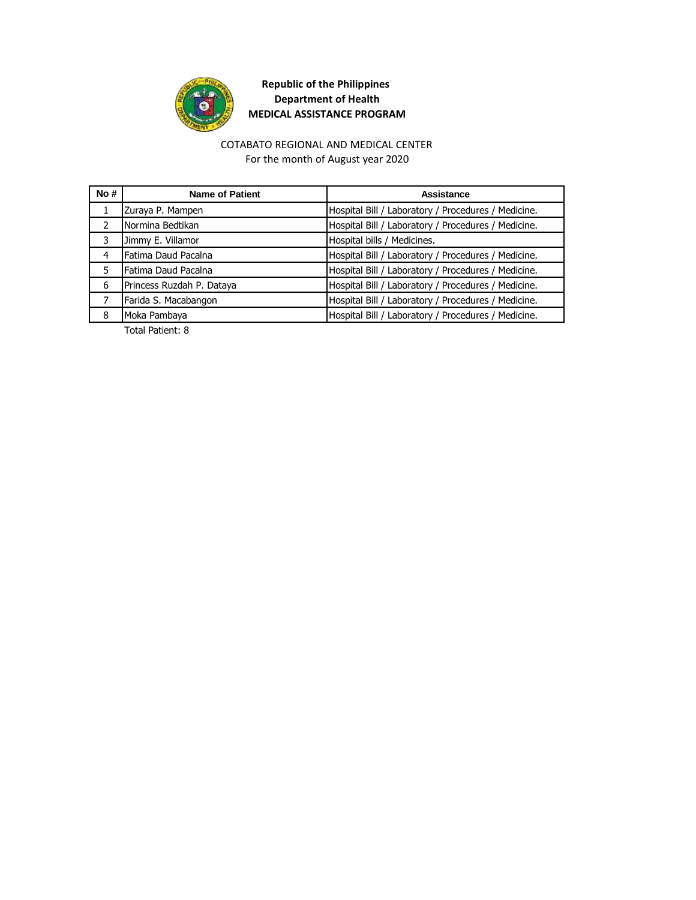

#### COTABATO REGIONAL AND MEDICAL CENTER

For the month of August year 2020

| No#           | <b>Name of Patient</b>    | Assistance                                          |
|---------------|---------------------------|-----------------------------------------------------|
|               | Zuraya P. Mampen          | Hospital Bill / Laboratory / Procedures / Medicine. |
| $\mathcal{P}$ | Normina Bedtikan          | Hospital Bill / Laboratory / Procedures / Medicine. |
| 3             | Jimmy E. Villamor         | Hospital bills / Medicines.                         |
| 4             | Fatima Daud Pacalna       | Hospital Bill / Laboratory / Procedures / Medicine. |
| 5             | Fatima Daud Pacalna       | Hospital Bill / Laboratory / Procedures / Medicine. |
| 6             | Princess Ruzdah P. Dataya | Hospital Bill / Laboratory / Procedures / Medicine. |
|               | Farida S. Macabangon      | Hospital Bill / Laboratory / Procedures / Medicine. |
| 8             | Moka Pambaya              | Hospital Bill / Laboratory / Procedures / Medicine. |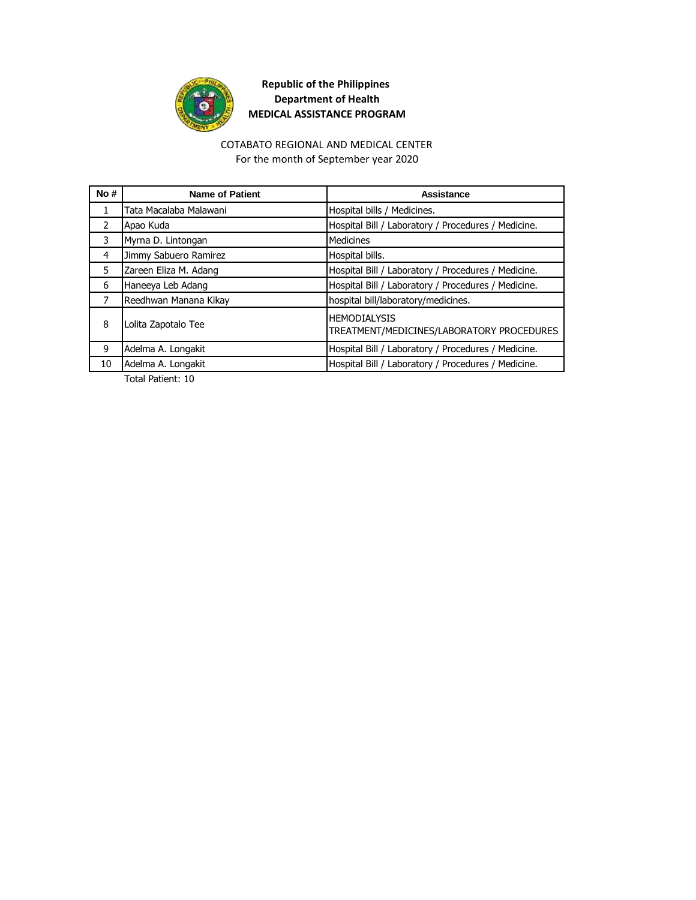

#### COTABATO REGIONAL AND MEDICAL CENTER

For the month of September year 2020

| No#           | <b>Name of Patient</b> | Assistance                                                       |
|---------------|------------------------|------------------------------------------------------------------|
| 1             | Tata Macalaba Malawani | Hospital bills / Medicines.                                      |
| $\mathcal{P}$ | Apao Kuda              | Hospital Bill / Laboratory / Procedures / Medicine.              |
| 3             | Myrna D. Lintongan     | <b>Medicines</b>                                                 |
| 4             | Jimmy Sabuero Ramirez  | Hospital bills.                                                  |
| 5             | Zareen Eliza M. Adang  | Hospital Bill / Laboratory / Procedures / Medicine.              |
| 6             | Haneeya Leb Adang      | Hospital Bill / Laboratory / Procedures / Medicine.              |
| 7             | Reedhwan Manana Kikay  | hospital bill/laboratory/medicines.                              |
| 8             | Lolita Zapotalo Tee    | <b>HEMODIALYSIS</b><br>TREATMENT/MEDICINES/LABORATORY PROCEDURES |
| 9             | Adelma A. Longakit     | Hospital Bill / Laboratory / Procedures / Medicine.              |
| 10            | Adelma A. Longakit     | Hospital Bill / Laboratory / Procedures / Medicine.              |
|               |                        |                                                                  |